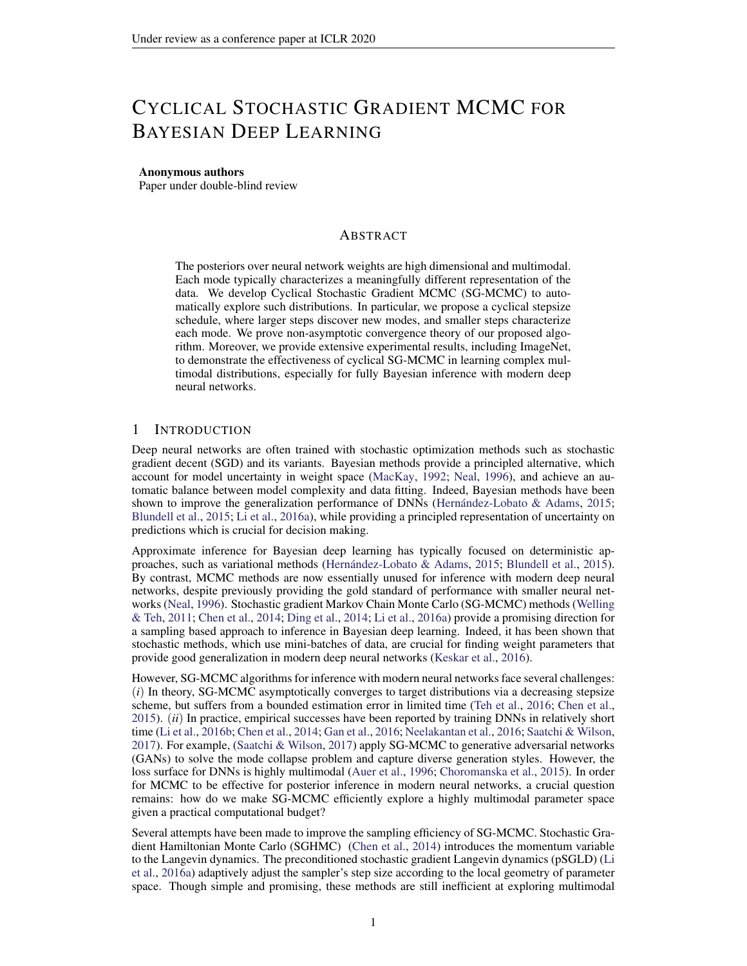# <span id="page-0-0"></span>CYCLICAL STOCHASTIC GRADIENT MCMC FOR BAYESIAN DEEP LEARNING

### Anonymous authors

Paper under double-blind review

## ABSTRACT

The posteriors over neural network weights are high dimensional and multimodal. Each mode typically characterizes a meaningfully different representation of the data. We develop Cyclical Stochastic Gradient MCMC (SG-MCMC) to automatically explore such distributions. In particular, we propose a cyclical stepsize schedule, where larger steps discover new modes, and smaller steps characterize each mode. We prove non-asymptotic convergence theory of our proposed algorithm. Moreover, we provide extensive experimental results, including ImageNet, to demonstrate the effectiveness of cyclical SG-MCMC in learning complex multimodal distributions, especially for fully Bayesian inference with modern deep neural networks.

## 1 INTRODUCTION

Deep neural networks are often trained with stochastic optimization methods such as stochastic gradient decent (SGD) and its variants. Bayesian methods provide a principled alternative, which account for model uncertainty in weight space (MacKay, 1992; Neal, 1996), and achieve an automatic balance between model complexity and data fitting. Indeed, Bayesian methods have been shown to improve the generalization performance of DNNs (Hernández-Lobato  $\&$  Adams, 2015; Blundell et al., 2015; Li et al., 2016a), while providing a principled representation of uncertainty on predictions which is crucial for decision making.

Approximate inference for Bayesian deep learning has typically focused on deterministic approaches, such as variational methods (Hernández-Lobato & Adams, 2015; Blundell et al., 2015). By contrast, MCMC methods are now essentially unused for inference with modern deep neural networks, despite previously providing the gold standard of performance with smaller neural networks (Neal, 1996). Stochastic gradient Markov Chain Monte Carlo (SG-MCMC) methods (Welling & Teh, 2011; Chen et al., 2014; Ding et al., 2014; Li et al., 2016a) provide a promising direction for a sampling based approach to inference in Bayesian deep learning. Indeed, it has been shown that stochastic methods, which use mini-batches of data, are crucial for finding weight parameters that provide good generalization in modern deep neural networks (Keskar et al., 2016).

However, SG-MCMC algorithms for inference with modern neural networks face several challenges: (*i*) In theory, SG-MCMC asymptotically converges to target distributions via a decreasing stepsize scheme, but suffers from a bounded estimation error in limited time (Teh et al., 2016; Chen et al., 2015). (*ii*) In practice, empirical successes have been reported by training DNNs in relatively short time (Li et al., 2016b; Chen et al., 2014; Gan et al., 2016; Neelakantan et al., 2016; Saatchi & Wilson, 2017). For example, (Saatchi & Wilson, 2017) apply SG-MCMC to generative adversarial networks (GANs) to solve the mode collapse problem and capture diverse generation styles. However, the loss surface for DNNs is highly multimodal (Auer et al., 1996; Choromanska et al., 2015). In order for MCMC to be effective for posterior inference in modern neural networks, a crucial question remains: how do we make SG-MCMC efficiently explore a highly multimodal parameter space given a practical computational budget?

Several attempts have been made to improve the sampling efficiency of SG-MCMC. Stochastic Gradient Hamiltonian Monte Carlo (SGHMC) (Chen et al., 2014) introduces the momentum variable to the Langevin dynamics. The preconditioned stochastic gradient Langevin dynamics (pSGLD) (Li et al., 2016a) adaptively adjust the sampler's step size according to the local geometry of parameter space. Though simple and promising, these methods are still inefficient at exploring multimodal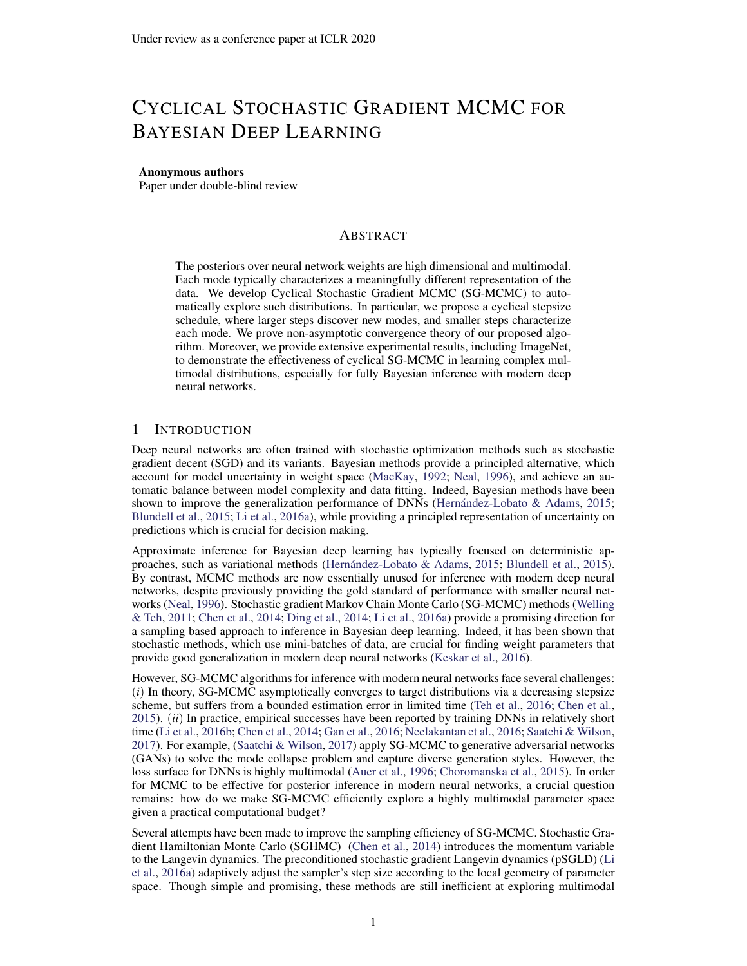distributions in practice. It is our contention that this limitation arises from difficulties escaping local modes when using the small stepsizes that SG-MCMC methods typically require. Note that the stepsize in SG-MCMC controls the sampler's behavior in two ways: the magnitude to deterministically drift towards high density regions *wrt.* the current stochastic gradient, and the level of injecting noise to randomly explore the parameter space. Therefore, a small stepsize reduces both abilities, resulting in a large numbers of iterations for the sampler to move across the modes.

In this paper, we propose to replace the traditional decreasing stepsize schedule in SG-MCMC with a cyclically changing one. To note the distinction from traditional SG-MCMC, we refer to this as the *Cyclical SG-MCMC* method (cSG-MCMC). The comparison is illustrated in Figure [1.](#page-1-0) The blue curve is the traditional decay, while the red curve shows the proposed cyclical schedule. Cyclical SG-MCMC operates in two stages: (*i*) *Exploration*: when the stepsize is large (dashed red curves), we consider this stage as an effective burn-in mech-

anism, encouraging the sampler to take

<span id="page-1-0"></span>

Figure 1: Illustration of the proposed cyclical stepsize schedule (red) and the traditional decreasing stepsize schedule (blue) for SG-MCMC algorithms.

large moves and leave the local mode using the stochastic gradient. (*ii*) *Sampling*: when the stepsize is small (solid red curves), the sampler explores one local mode. We collect samples for local distribution estimation during this stage. Further, we propose two practical techniques to improve the estimation efficiency: (1) a system temperature for exploration and exploitation; (2) A weighted combination scheme for samples collected in different cycles accommodates their relative importance.

This procedure can be viewed as SG-MCMC with warm restarts: the exploration stage provides the warm restarts for its following sampling stage. cSG-MCMC combines the advantages from (1) the traditional SG-MCMC to characterize the fine-scale local density of a distribution and (2) the cyclical schedule in optimization to efficiently explore multimodal posterior distributions of the parameter space. In limited time, cSG-MCMC is a practical tool to provide significantly better mixing than the traditional SG-MCMC for complex distributions. cSG-MCMC can also be considered as an *efficient* approximation to parallel MCMC; cSG-MCMC can achieve similar performance to parallel MCMC with only a fraction of cost (reciprocal to the number of chains) that parallel MCMC requires.

To support our proposal, we also prove the non-asymptotic convergence for the cyclical schedule. We note that this is the first convergence analysis of a cyclical stepsize algorithm (including work in optimization). Moreover, we provide extensive experimental results to demonstrate the advantages of cSG-MCMC in sampling from multimodal distributions, including Bayesian neural networks and uncertainty estimation on several large and challenging datasets such as ImageNet.

In short, cSG-MCMC provides a simple and automatic approach to inference in modern Bayesian deep learning, with promising results, and theoretical support. This work is a step towards enabling MCMC approaches in Bayesian deep learning. We will release the code on GitHub.

### <span id="page-1-1"></span>2 PRELIMINARIES: SG-MCMC WITH A DECREASING STEPSIZE SCHEDULE

SG-MCMC is a family of scalable sampling methods that enables inference with mini-batches of data. For a dataset  $D = fd_i g_{i=1}^N$  and a -parameterized model, we have the likelihood  $p(D_j)$  and prior  $p(\cdot)$ . The posterior distribution is  $p(\cdot|D) \geq \exp(-U(\cdot))$ ; where  $U(\cdot)$  is the potential energy given by  $U(\ ) = \ \log p(D/\ ) \ \log p(\ )$ :

When  $D$  is too large, it is expensive to evaluate  $U( )$  for all the data points at each iteration. Instead, SG-MCMC methods use a minibatch to approximate  $U( )$ :  $\tilde{U}( )$  =  $\log p( )$  ; where  $N^0$  N is the size of minibatch. We recommend (Ma  $\log p()$ ; where  $N^{\ell}$  N is the size of minibatch. We recommend (Ma et al., 2015) for a general  $\bigcap_{j=1}^{N^0} \log p(x_j)$ review of SG-MCMC algorithms. We describe two SG-MCMC algorithms considered in this paper.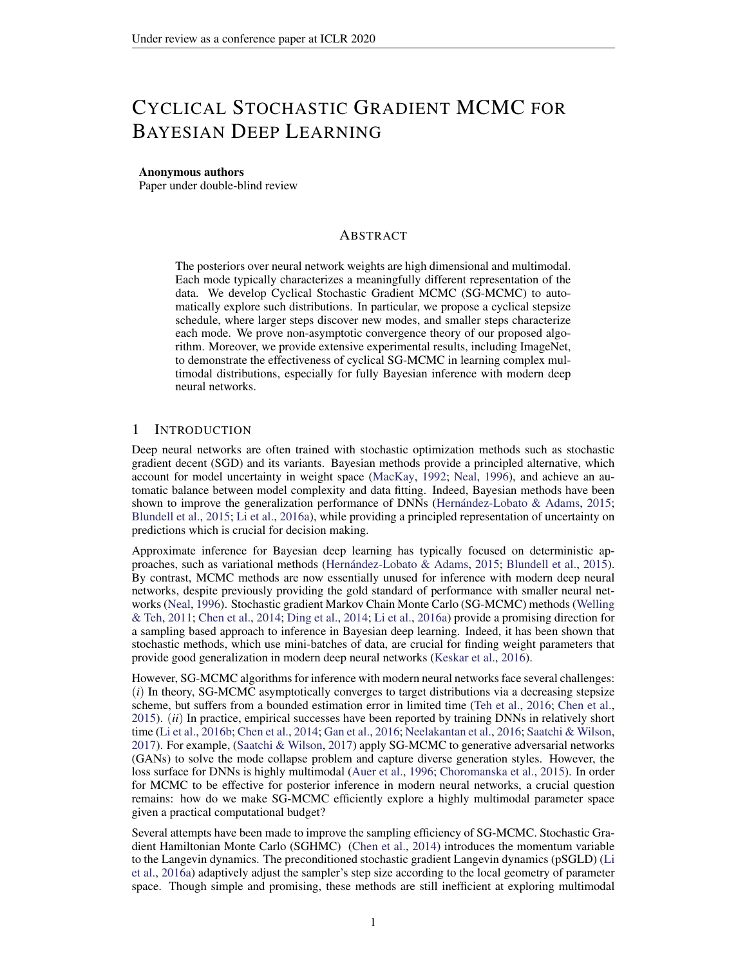**SGLD & SGHMC** (Welling & Teh, 2011) proposed Stochastic Gradient Langevin Dynamics (SGLD), which uses stochastic gradients with Gaussian noise. Posterior samples are updated at (SOLD), which uses stochastic gradients with Gaussian hoise. Posterior samples are updated at the k-th step as:  $k = k_1 - kT\tilde{U}(k) + \frac{pT}{2k}k$ , where k is the stepsize and k has a standard Gaussian distribution.

To improve mixing over SGLD, Stochastic Gradient Hamiltonian Monte Carlo (SGHMC) (Chen et al., 2014) introduces an auxiliary momentum variable v. SGHMC is built upon HMC, with an additional friction term to counteract the noise introduced by a mini-batch. The update rule for posterior samples is:  $k = k_1 + V_{k-1}$ , and  $V_k = V_{k-1}$  kr  $\tilde{U}(\kappa)$  k  $V_{k-1} + \frac{V_{k-1}(\kappa)}{2(\kappa)}$  k, where  $1$  is the momentum term and  $\hat{ }$  is the estimate of the noise.

To guarantee asymptotic consistency with the true distribution, SG-MCMC requires that the step sizes satisfy the following assumption:

**Assumption 1.** The step sizes  $f_{k}$  are decreasing, i.e.,  $0 < \kappa_{k+1} < \kappa_{k}$ , with  $I$ )  $\begin{bmatrix} 1 & 1 \\ k-1 & k \end{bmatrix}$   $\in I$ ; *and* 2)  $\int_{k=1}^{7} \frac{1}{k} < 1$ .

Without a decreasing step-size, the estimation error from numerical approximations is asymptotically biased. One typical decaying step-size schedule is  $k = a(b + k)$ , with 2 (0.5; 1] and  $(a, b)$  some positive constants (Welling & Teh, 2011).

## 3 CYCLICAL SG-MCMC

We now introduce our *cyclical SG-MCMC* (cSG-MCMC) algorithm. cSG-MCMC consists of two stages: *exploration* and *sampling*. In the following, we first introduce the cyclical step-size schedule, and then describe the exploration stage in Section [3.1](#page-3-0) and the sampling stage in Section [3.2.](#page-3-1) We propose an approach to combining samples for testing in Section F.

Assumption 1 guarantees the consistency of our estimation with the true distribution in asymptotic time. The approximation error in limited time is characterized as the risk of an estimator  $R =$  $B^2 + V$ , where B is the bias and V is the variance. In the case of infinite computation time, the traditional SG-MCMC setting can reduce the bias and variance to zero. However, the time budget is often limited in practice, and there is always a trade-off between bias and variance. We therefore decrease the overall approximation error  $R$  by reducing the variance through obtaining more effective samples. The effective sample size can be increased if less correlated samples from different distribution modes are collected.

For deep neural networks, the parameter space is highly multimodal. SG-MCMC with the traditional decreasing stepsize schedule in practice becomes trapped in a local mode, though injecting noise may help the sampler to escape in the asymptotic regime (Zhang et al., 2017). Inspired to improve the exploration of the multimodal posteriors for deep neural networks, with a simple and automatic approach, we propose the cyclical cosine stepsize schedule for SG-MCMC. The stepsize at iteration k is defined as (Loshchilov & Hutter, 2016; Huang et al., 2017):

<span id="page-2-0"></span>
$$
k = \frac{0}{2} \cos \frac{\text{mod}(k - 1; dK = Me)}{dK = Me} + 1 ; \qquad (1)
$$

where  $\sigma$  is the initial stepsize, M is the number of cycles and K is the number of total iterations.

The stepsize  $k$  varies periodically with k. In each period,  $k$  starts at  $\sigma$ , and gradually decreases to 0. Within one period, SG-MCMC starts with a large stepsize, resulting in aggressive exploration in the parameter space; as the stepsize is decreasing, SG-MCMC explores local regions. In the next period, the Markov chain restarts with a large stepsize, enforcing the sampler to escape from the current mode and explore a new area of the posterior.

Related work in optimization. In optimization, the cyclical cosine annealing stepsize schedule has been demonstrated to be able to find diverse solutions in multimodal objectives, though not specifically different modes, using stochastic gradient methods (Loshchilov & Hutter, 2016; Huang et al., 2017; Garipov et al., 2018). Alternatively, we adopt the technique to SG-MCMC as an effective scheme for sampling from multimodal distributions.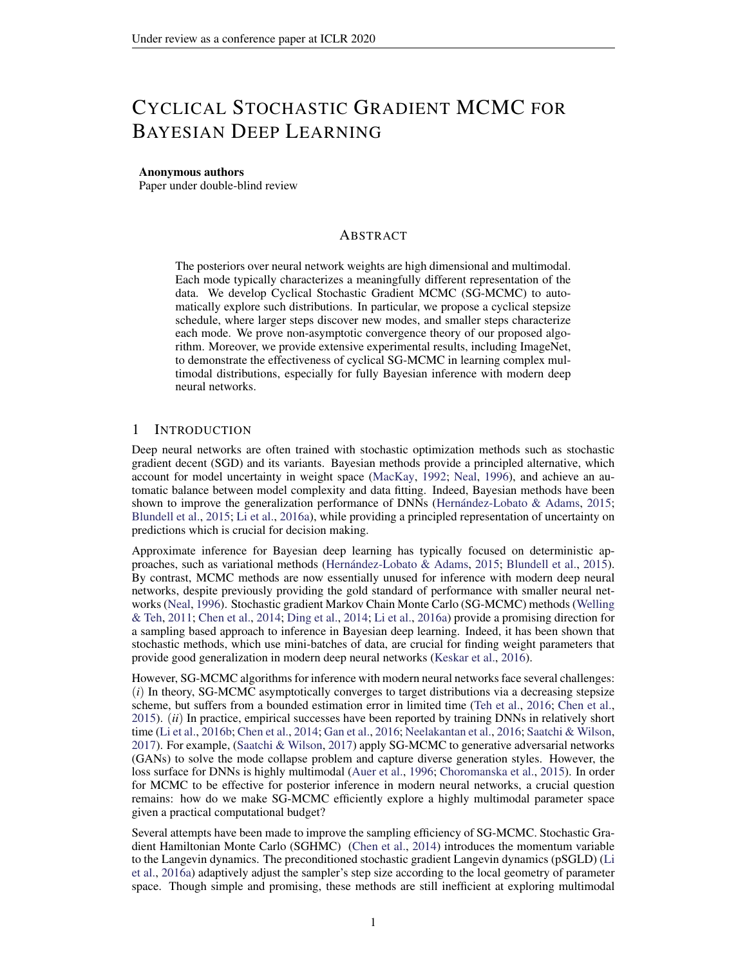### <span id="page-3-0"></span>3.1 EXPLORATION

The first stage of cyclical SG-MCMC, *exploration*, discovers parameters near local modes of an objective function. Unfortunately, it is undesirable to directly apply the cyclical schedule in optimization to SG-MCMC for collecting samples at every step. SG-MCMC often requires a small stepsize in order to control the error induced by the noise from using a minibatch approximation. If the stepsize is too large, the stationary distribution of SG-MCMC might be far away from the true posterior distribution. To correct this error, it is possible to do stochastic Metropolis-Hastings (MH) (Korattikara et al., 2014; Bardenet et al., 2014; Chen et al., 2016b). However, stochastic MH correction is still computationally too expensive. Further, it is easy to get rejected with an aggressive large stepsize, and every rejection is a waste of gradient computation.

To alleviate this problem, we propose to introduce a system temperature  $\tau$  to control the sampler's behavior:  $p(jD) \, \measuredangle \exp(-U(j-1))$ . Note that setting  $T = 1$  corresponds to sampling from the true posterior. When  $\overline{T}$  ! 0, the posterior distribution becomes a point mass. Sampling from  $\lim_{T \to 0} \exp(-U(-)=T)$  is equivalent to minimizing  $U(-)$ ; in this context, SG-MCMC methods become stochastic gradient optimization methods.

One may increase the temperature  $T$  from 0 to 1 when the step-size is decreasing. We simply consider  $T = 0$  and perform optimization as the burn-in stage, when the completed proportion of a cycle  $r(k) = \frac{\text{mod } (k-1; dK = Me)}{dK = Me}$  is smaller than a given threshold:  $r(k) < .$  Note that  $2(0, 1)$ balances the proportion of the exploration and sampling stages in cSG-MCMC.

### <span id="page-3-1"></span>3.2 SAMPLING

The *sampling* stage corresponds to  $T = 1$ of the exploration stage. When  $r(k)$ or step-sizes are sufficiently small, we initiate SG-MCMC updates and collect samples until this cycle ends.

SG-MCMC with Warm Restarts One may consider the exploration stage as automatically providing warm restarts for the sampling stage. Exploration alleviates the inefficient mixing and inability to traverse the multimodal distributions of the traditional SG-MCMC methods. SG-MCMC with warm restarts explores different parts

Algorithm 1 Cyclical SG-MCMC.

```
Input: The initial stepsize _0, number of cycles M,
  number of training iterations K and the proportion
  of exploration stage .
  for k = 1:K do
           k1.
     if \frac{\mod (k-1)dK=Me}{dK=Me} < then
       % Exploration stage
                 \Gamma \tilde{U}_k( )else
       % Sampling stage
       Collect samples using SG-MCMC methods
Output: Samples f_{k}g
```
of the posterior distribution and capture multiple modes in a single training procedure.

In summary, the proposed cyclical SG-MCMC repeats the *two* stages, with three key advantages: (*i*) It restarts with a large stepsize at the beginning of a cycle which provides enough perturbation and encourages the model to escape from the current mode. (*ii*) The stepsize decreases more quickly inside one cycle than a traditional schedule, making the sampler better characterize the density of the local regions. (*iii*) This cyclical stepsize shares the advantage of the "super-convergence" property discussed in (Smith & Topin, 2017): cSG-MCMC can accelerate convergence for DNNs by up to an order of magnitude.

Connection to the Santa algorithm. It is interesting to note that our approach inverts steps of the Santa algorithm (Chen et al., 2016a) for optimization. Santa is a simulated-annealing-based optimization algorithm with an exploration stage when  $T = 1$ , then gradually anneals  $T / 0$  in a refinement stage for global optimization. In contrast, our goal is to draw samples for multimodal distributions, thus we explore with  $T = 0$  and sample with  $T = 1$ . Another fundamental difference is that Santa adopts the traditional stepsize decay, while we use the cyclical schedule.

We visually compare the difference between cyclical and traditional step size schedules (described in Section [2\)](#page-1-1) in Figure [1.](#page-1-0) The cyclical SG-MCMC algorithm is presented in Algorithm [1.](#page-3-2)

Connection to Parallel MCMC. Running parallel Markov chains is a natural and effective way to draw samples from multimodal distributions (VanDerwerken & Schmidler, 2013; Ahn et al., 2014).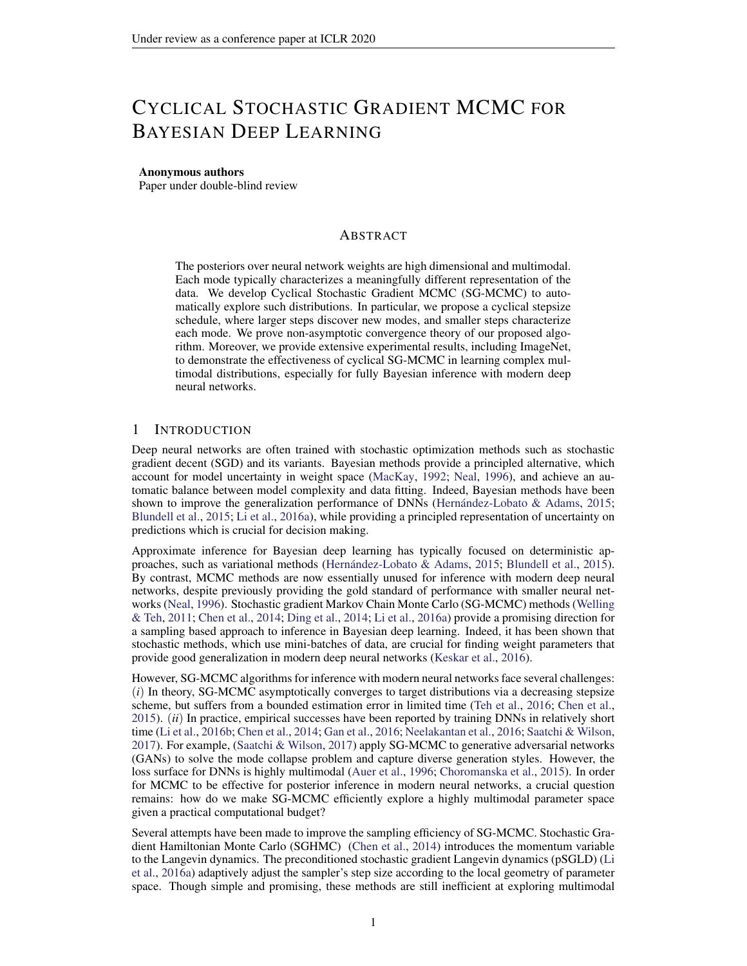However, the training cost increases linearly with the number of chains. Cyclical SG-MCMC can be seen as an efficient way to approximate parallel MCMC. Each cycle effectively estimates a different region of posterior. Note cyclical SG-MCMC runs along a single training pass. Therefore, its computational cost is the same as single chain SG-MCMC while significantly less than parallel MCMC.

Combining Samples. In cyclical SG-MCMC, we obtain samples from multiple modes of a posterior distribution by running the cyclical step size schedule for many periods. We provide a sampling combination scheme to effectively utilize the collected samples in Section F in Appendix.

### 4 THEORETICAL ANALYSIS

Qur algorithm is based on the SDE characterizing the Langevin dynamics:  $d_t = r U(t) dt +$  $\bar{2}dW_t$ , where  $W_t \supseteq R^d$  is a *d*-dimensional Brownian motion. In this section, we prove nonasymptotic convergence rates for the proposed cSG-MCMC framework with a cyclical stepsize sequence  $f_{k}g$  defined in equation [1.](#page-2-0) For simplicity, we do not consider the exploration stage in the analysis as that corresponds to stochastic optimization. Generally, there are two different ways to describe the convergence behaviours of SG-MCMC. One characterizes the sample average over a particular test function (*e.g.*, (Chen et al., 2015; Vollmer et al., 2016)); the other is in terms of Wasserstein distance (*e.g.*, (Raginsky et al., 2017; Xu et al., 2017)). We study both in the following.

Weak convergence Following (Chen et al., 2015; Vollmer et al., 2016), we define the posterior average of an ergodic SDE as:  $\frac{R}{X}$  ( ) ( )d for some test function ( ) of interest. For the corresponding algorithm with generated samples  $(k)_{k=1}^K$ , we use the *sample average*  $\hat{ }$  defined as  $\hat{K} = \frac{1}{K} \begin{bmatrix} K \\ k-1 \end{bmatrix}$  ( k) to approximate  $\hat{K}$ . We prove weak convergence of cSGLD in terms of bias and MSE, as stated in Theorem 1.

Theorem 1. *Under Assumptions 2 in the Appendix, for a smooth test function , the bias and MSE of cSGLD are bounded as:*

*BIAS:* 
$$
E^{\sim} = O \frac{1}{\omega K} + O
$$
; *MSE:*  $E^{\sim} = \frac{2}{\omega C} = O \frac{1}{\omega K} + \frac{2}{0}$  : (2)

Convergence under Wasserstein distance Next, we consider the more general case of SGLD and characterize convergence rates in terms of a stronger metric of 2-Wasserstein distance, defined as:

$$
W_2^2(~;~):=\inf \hspace{1cm} k \hspace{1cm} \ell \xi_2^2 d~(~;~\stackrel{\emptyset}{\longrightarrow}: \hspace{1cm} 2\hspace{1mm} \Gamma(~;~)
$$

where  $\Gamma(\cdot)$  is the set of joint distributions over  $(\cdot)$  such that the two marginals equal and, respectively.

Denote the distribution of  $t$  in the SDE as  $t$ . According to (Chiang & Hwang, 1987), the stationary distribution  $\tau$  matches our target distribution. Let  $\kappa$  be the distribution of the sample from our proposed cSGLD algorithm at the  $K$ -th iteration. Our goal is to derive a convergence bound on  $W_2(\kappa;\tau)$ . We adopt standard assumptions as in most existing work, which are detailed in Assumption [3](#page-0-0) in Appendix. Theorem [2](#page-4-0) summarizes our main theoretical result.

<span id="page-4-0"></span>**Theorem 2.** *Under Assumption* [3](#page-0-0) *in Appendix, there exist constants*  $(C_0; C_1; C_2; C_3)$  *independent of the stepsizes such that the convergence rate of our proposed cSGLD with cyclical stepsize sequence equation* [1](#page-2-0) *is bounded for all* K *satisfying* (K *mod* M =0), as  $W_2(\kappa; \tau)$ 

$$
C_3 \exp\left(-\frac{K_0}{2C_4}\right) + 6 + \frac{C_2K_0}{2} \left[ (C_1\frac{3\frac{2}{0}K}{8} + C_0\frac{K_0}{2})^{\frac{1}{2}} + (C_1\frac{3\frac{2}{0}K}{16} + C_0\frac{K_0}{4})^{\frac{1}{4}} \right].
$$

*Particularly, if we further assume*  $\sigma = O(K)$  *for*  $\beta > 1$ ,  $W_2(\kappa; \tau)$   $C_3 + C_4$  $6 + \frac{C_2}{K}$  $\frac{1}{2} \left[ \left( \frac{2C_1}{K^2} + \frac{2C_0}{K^2} \right)^{\frac{1}{2}} + \left( \frac{C_1}{K^2} + \frac{C_0}{K^2} \right)^{\frac{1}{4}} \right].$ 

Remark 1. *i*) *The bound is decomposed into two parts: the first part measures convergence speed of exact solution to the stationary distribution, i.e.,* <sup>P</sup> k k *to* <sup>1</sup>*; the second part measures measures* the numerical error, i.e., between  $K$  and  $\bigcup_{k=k+1}^{\infty}$  *ii*) The overall bound offers a same order of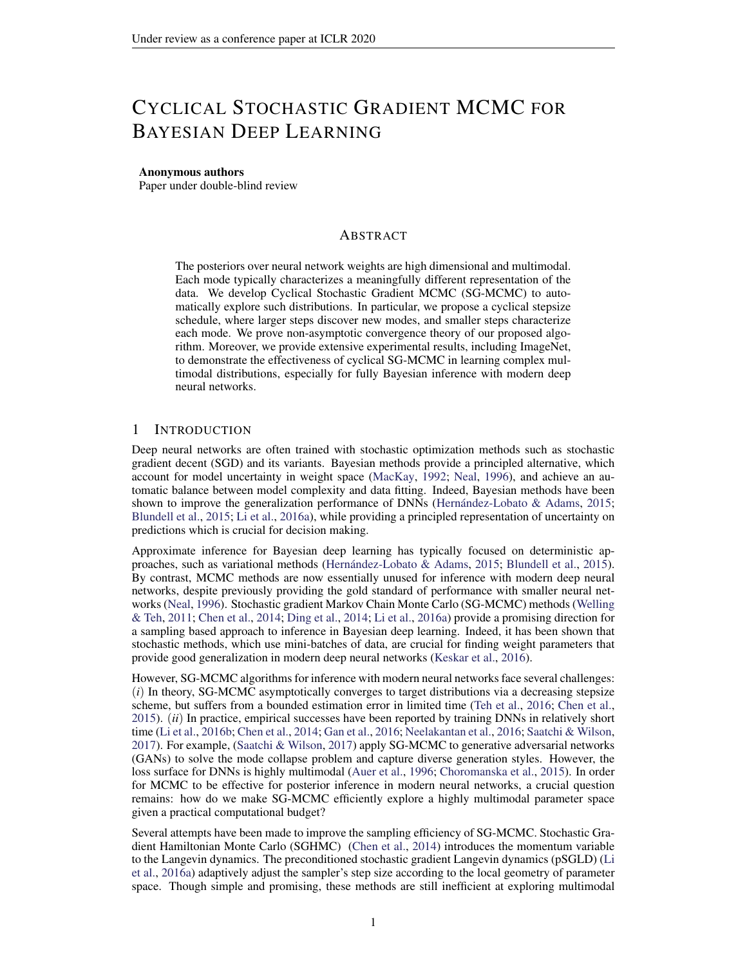<span id="page-5-3"></span>

Figure 3: Results of cSG-MCMC with DNNs on CIFAR-100 dataset. (a) MDS visualization in weight space: cSG-MCMC show larger distance than traditional schedules. (b) Testing errors (%) on the path of two samples: cSG-MCMC shows more varied performance. (c) Testing errors  $(\%)$  as a function of the number of cycles M: cSGLD yields consistently lower errors.

*dependency on* K *as in standard SGLD (please see the bound for SGLD in Section E of Appendix. See also (Raginsky et al., 2017)). iii*) *If one imposes stricter assumptions such as in the convex case, the bound can be further improved. Specific bounds are derived in the Appendix. We did not consider this case due to the discrepancy from real applications.*

## 5 EXPERIMENTS

We demonstrate cSG-MCMC on several tasks, including a synthetic multimodal distribution (Section [5.1\)](#page-5-0), image classification on Bayesian neural networks (Section [5.2\)](#page-5-1) and uncertainty estimation in Section 5.3. We also demonstrate cSG-MCMC can improve the estimate efficiency for uni-modal distributions using Bayesian logistic regression in Section A.2 in Appendix. We choose SLGD and SGHMC as the representative baseline algorithms. Their cyclical counterpart are called cSGLD and cSGHMC, respectively.

### <span id="page-5-0"></span>5.1 SYNTHETIC MULTIMODAL DATA

We first demonstrate the ability of cSG-MCMC for sampling from a multi-modal distribution on a 2D mixture of 25 Gaussians. Specifically, we compare cSGLD with SGLD in two setting: (1) parallel running with 4 chains and (2) running with a single chain, respectively. Each chain runs for 50k iterations. The stepsize schedule of SGLD is  $k \neq 0.05k$  0.55. In cSGLD, we set  $M = 30$  and the initial stepsize  $_0 = 0.09$ . The proportion of exploration stage =  $\frac{1}{4}$ . Fig [2](#page-5-2) shows the estimated density using sampling results for SGLD and cSGLD in the parallel setting. We observed that SGLD gets trapped in the local modes, depending on the initial position. In any practical time period,

<span id="page-5-2"></span>

Figure 2: Sampling from a mixture of 25 Gaussians shown in (a) for the parallel setting. With a budget of  $50k \quad 4 = 200k$  samples, traditional SGLD in (b) has only discovered 4 of the 25 modes, while our cSGLD in (c) has fully explored the distribution.

SGLD could only characterize partial distribution. In contrast, cSGLD is able to find and characterize all modes, regardless of the initial position. cSGLD leverages large step sizes to discover a new mode, and small step sizes to explore local modes. This result suggests cSGLD can be a significantly favourable choice in the non-asymptotic setting, for example only 50k iterations in this case. The single chain results and the quantitative results on mode coverage are reported in Section A.1 of Appendix.

#### <span id="page-5-1"></span>5.2 BAYESIAN NEURAL NETWORKS

We demonstrate the effectiveness of cSG-MCMC on Bayesian neural networks for classification on CIFAR-10 and CIFAR-100. We compare with (*i*) traditional SG-MCMC; (*ii*) traditional stochastic optimization methods, including stochastic gradient descent (SGD) and stochastic gradient descent with momentum (SGDM); and (*iii*) *Snapshot*: a stochastic optimization ensemble method method with a the cyclical stepsize schedule (Huang et al., 2017). We use a ResNet-18 (He et al., 2016) and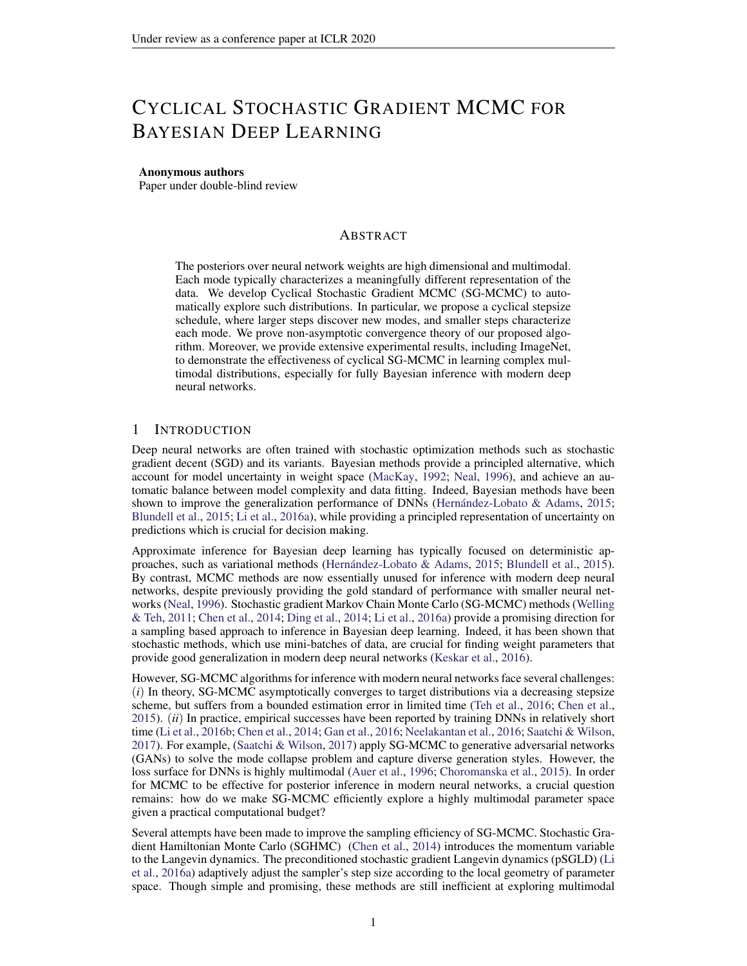run all algorithms for 200 epochs. We report the test errors averaged over 3 runs, and the standard error ( ) from the mean predictor.

We setM = 4 and  $_0$  = 0:5 for cSGLD, cSGHMC and Snapshot. The proportion hyper-parameter = 0.8 and 0.94 for CIFAR-10 and CIFAR-100, respectively. We collect 3 samples per cycle. In practice, we found that the collected samples share similarly high likelihood for DNNs, thus one may simply set the normalizing term in Eq. equation 33 to be the same for faster testing.

For the traditional SG-MCMC methods, we found that noise injection early in training hurts convergence. To make these baselines as competitive as possible, we thus avoid noise injection for the rst 150 epochs of training (corresponding to the zero temperature limit of SGLD and SGHMC), and resume SGMCMC as usual (with noise) for the last 50 epochs. This scheme is similar to the exploration and sampling stages within one cycle of cSG-MCMC. We collect 20 samples for the MCMC methods and average their predictions in testing.

| Testing Performance for Image Classi cation                  |              | CIFAR-10      | CIFAR-100  |
|--------------------------------------------------------------|--------------|---------------|------------|
| We report the testing errors in Table 1 to com-              |              |               |            |
|                                                              | SGD          | $5.29$ 0.15   | 23.61 0.09 |
| pare with the non-parallel algorithms. Snapshot              | SGDM         | 5.17 0.09     | 22.98 0.27 |
| and traditional SG-MCMC reduce the testing er-               | Snapshot-SGD | 4.46 0.04     | 20.83 0.01 |
| rors on both datasets. Performance variance forSnapshot-SGDM |              | 4.39 0.01     | 20.81 0.10 |
| these methods is also relatively small, due to               | SGLD         | $5.20 \ 0.06$ | 23.23 0.01 |
| the multiple networks in the Bayesian model av-              | cSGLD        | 4.29 0.06     | 20.55 0.06 |
| erage. Further, cSG-MCMC signi cantly out-                   | <b>SGHMC</b> | 4.93 0.1      | 22.60 0.17 |
| performs Snapshot ensembles and the traditional              | cSGHMC       | 4.27 0.03     | 20.50 0.11 |

capturing diverse modes compared to traditionaable 1: Comparison of test error (%) between SG-MCMC, and (2) capturing ne-scale characCSG-MCMC with non-parallel algorithms. cSteristics of the distribution compared with SnapGLD and cSGHMC yields lower errors than their optimization counterparts, respectively. SG-MCMC, demonstrating the importance of (1) shot ensembles.

Diversity in Weight Space. To further demonstrate our hypothesis that with a limited budget cSG-MCMC can nd diverse modes, while traditional SG-MCMC cannot, we visualize the 12 samples we collect from cSG-MCMC and SG-MCMC on CIFAR-100 respectively using Multidimensional Scaling (MDS) in Figur[e](#page-5-3) 3 (a). MDS uses a Euclidean distance metric between the weight of samples. We see that the samples of cSG-MCMC form 4 clusters, which means they are from 4 different modes in weight space. However, all samples from SG-MCMC only form one cluster, which indicates traditional SG-MCMC gets trapped in one mode and only samples from that mode.

Diversity in Prediction. To further demonstrate the samples from different cycles of cSG-MCMC provide diverse predictions we choose one sample from each cycle and linearly interpolate between two of them (Goodfellow et al., 2014; Huang et al., 2017). Speci callyJl(et) be the test error of a sample with parameter. We compute the test error of the convex combination of two samples  $J($   $1 + (1)$   $)$  2), where 2 [0; 1].

We linearly interpolate between two samples from neighboring chains of cSG-MCMC since they are the most likely to be similar. We randomly select 4 samples from SG-MCMC. If the samples are from the same mode, the test error of the linear interpolation of parameters will be relatively smooth, while if the samples are from different modes, the test error of the parameter interpolation will have a spike when is between 0 and 1.

We show the results of interpolation for cSG-MCMC and SG-MCMC on CIFAR-100 in F[igu](#page-5-3)re 3 (b). We see a spike in the test error in each linear interpolation of parameters between two samples from neighboring chains in cSG-MCMC while the linear interpolation for samples of SG-MCMC is smooth. This result suggests that samples of cSG-MCMC from different chains are from different modes while samples of SG-MCMC are from the same mode.

Although the test error of a single sample of cSG-MCMC is worse than that of SG-MCMC shown in Figure [3](#page-5-3) (c), the ensemble of these samples signi cantly improves the test error, indicating that samples from different modes provide different predictions and make mistakes on different data points. Thus these diverse samples can complement each other, resulting in a lower test error, and demonstrating the advantage of exploring diverse modes using cSG-MCMC.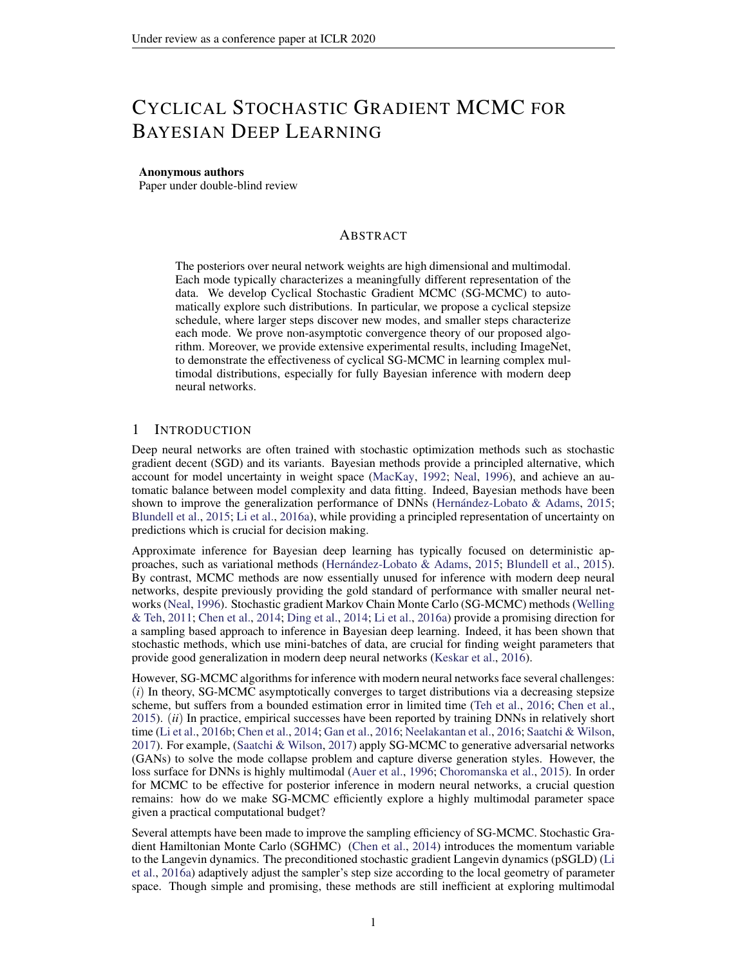| Method    |       | Cyclical+Parallel |                    | Decreasing+Parallel Decreasing+Parallel Cyclical+Single |       |              |       |              |
|-----------|-------|-------------------|--------------------|---------------------------------------------------------|-------|--------------|-------|--------------|
| Cost      |       | 200/800           | 200/800<br>100/400 |                                                         |       | 200/200      |       |              |
| Sampler   | SGLD  | SGHMC             | SGLD               | SGHMC                                                   | SGLD  | <b>SGHMC</b> | SGLD. | <b>SGHMC</b> |
| CIFAR-10  | 4.09  | 3.95              | 4.15               | 4.09                                                    | 5.11  | 4.52         | 4.29  | 4.27         |
| CIFAR-100 | 19.37 | 19.19             | 20.29              | 19.72                                                   | 21.16 | 20.82        | 20.55 | 20.50        |

Table 2: Comparison of test error (%) between cSG-MCMC with parallel algoriM me4 chains) on CIFAR-10 and CIFAR-100. The method is reported in the format of "step-size schedule (cyclical or decreasing) + single/parallel chain". The cost is reported in the format opbch per chain / # epoch used in all chains". Note that a parallel algorithm with a single chain reduces to a nonparallel algorithm. Integration of the cyclical schedule with parallel algorithms provides lower testing errors.

Comparison to Parallel MCMC. cSG-MCMC can be viewed as an economical alternative to parallel MCMC. We verify how closely cSG-MCMC can approximate the performance of parallel MCMC, but with more convenience and less computational expense. We also note that we can improve parallel MCMC with the proposed cyclical stepsize schedule.

We report the testing errors in Table 2 to compare multiple-chain results. (1) Four chains used, each runs 200 epochs (800 epochs in total), the results are shown in the rst 4 columns (Cyclical+Parallel vs Decreasing+Parallel). We see that cSG-MCMC variants provide lower errors than plain SG-MCMC. (2) We reduce the number of epochs (och) of parallel MCMC to 100 epoch each for decreasing stepsize schedule. The total cost is 400 epochs. We compare its performance with cyclical single chain (200 epochs in total) in the last 4 columns (Decreasing+Parallel vs Cyclical+Single). We see that the cyclical schedule running on a single chain performs best even with half the computational cost! All the results indicate the importance of warm re-starts using the proposed cyclical schedule. For a given total cost budget, the proposed cSGMCMC is preferable to parallel sampling.

Comparison to Snapshot Optimization. We carefully compared with Snapshot, as our cSG-MCMC can be viewed as the sampling counterpart of the Snapshot optimization method. We plot the test errowrt.various number of cycles in Fig. 3. AsM increases, cSG-MCMC and Snapshot both improve. However, given a xeM, cSG-MCMC yields substantially lower test errors than Snapshot. This result is due to the ability of cSG-MCMC to better characterize the local distribution of modes: Snapshot provides a singe minimum per cycle, while cSG-MCMC fully exploits the mode with more samples, which could provide weight uncertainty estimate and avoid over-tting.

| Results on ImageNet. We further study dif-       |                             |        |        |        |
|--------------------------------------------------|-----------------------------|--------|--------|--------|
| ferent learning algorithms on a large-scale      |                             | NLL #  | Top1 " | Top5 " |
| dataset, ImageNet. ResNet-50 is used as the ar-  | SGDM                        | 0.9595 | 76.046 | 92.776 |
| chitecture, and 120 epochs for each run. The     | Snapshot-SGDM 0.8941 77.142 |        |        | 93.344 |
|                                                  | <b>SGHMC</b>                | 0.9308 | 76.274 | 92.994 |
| results on the testing set are summarized in Ta- | cSGHMC                      | 0.8882 | 77.114 | 93.524 |
| ble 3, including NLL, Top1 and Top5 accuracy     |                             |        |        |        |

Table 3: Comparison on the testing set of ImageNet. cSGHMC yields lower testing NLL than  $\mathfrak{F}% _{k}(G)$ กลpshot and SGHMC. (%), respectively. 3 cycles are considered for both cSGHMC and Snapshot, and we collect 3 samples per cycle. We see that cSGHMC yields

the lowest testing NLL, indicating that the cy-

cle schedule is an effective technique to explore the parameter space, and diversi ed samples can help prevent over-tting.

## 5.3 UNCERTAINTY EVALUATION

To demonstrate how predictive uncertainty bene ts from exploring multiple modes in the posterior of neural network weights, we consider the task of uncertainty estimation for out-of-distribution samples (Lakshminarayanan et al., 2017). We train a three-layer MLP model on the standard MNIST train dataset until convergence using different algorithms, and estimate the entropy of the predictive distribution on the notMNIST dataset (Bulatov, 2011). Since the samples from the notMNIST dataset belong to the unseen classes, ideally the predictive distribution of the trained model should be uniform over the notMNIST digits, which gives the maximum entropy.

In Figure 4, we plot the empirical CDF for the entropy of the predictive distributions on notMNIST. We see that the uncertainty estimates from cSGHMC and cSGLD are better than the other methods,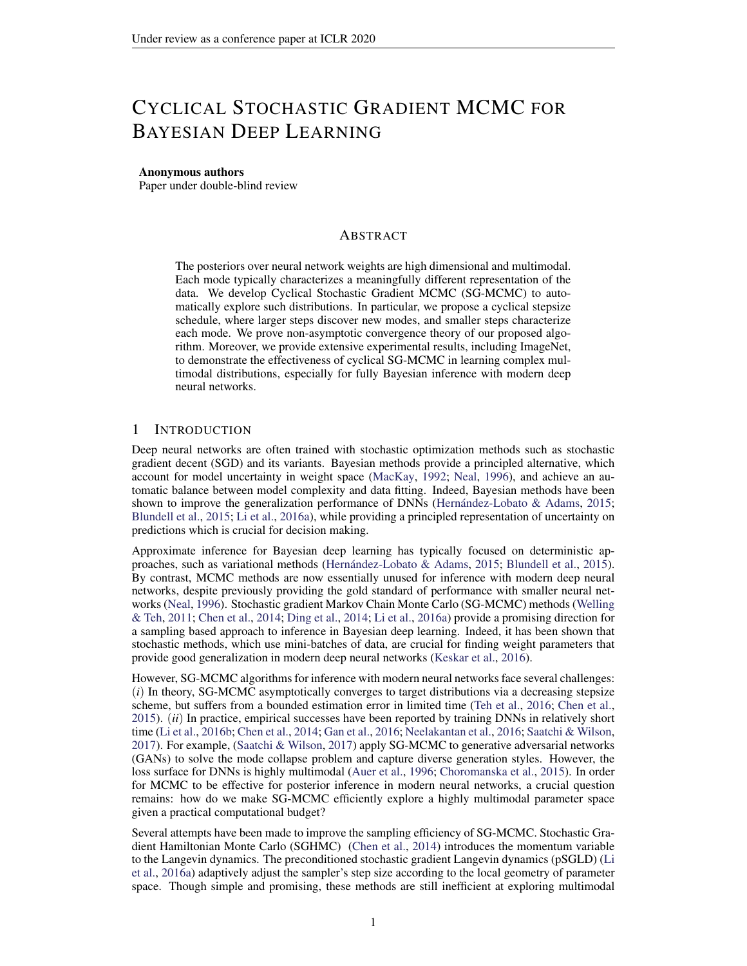since the probability of a low entropy prediction is overall lower. cSG-MCMC algorithms explore more modes in the weight space, each mode characterizes a meaningfully different representation of MNIST data. When testing on the out-of-distribution dataset (notMNIST), each mode can provide different predictions over the label space, leading to more reasonable uncertainty estimates. Snapshot achieves less entropy than cSG-MCMC, since it represents each mode with a single point.

The traditional SG-MCMC methods also provide better uncertainty estimation compared to their optimization counterparts, because they characterize a local region of the parameter space, rather than a single point. cSG-MCMC can be regarded as a combination of these two worlds: a wide coverage of many modes in Snapshot, and ne-scale characterization of local regions in SG-MCMC.

# 6 DISCUSSION

We have proposed cyclical SG-MCMC methods

to automatically explore complex multimoda igure 4: Empirical CDF for the entropy of distributions. Our approach is particularly com<sub>the predictive</sub> distribution on notMNIST dataset. pelling for Bayesian deep learning, which in-o productive distinction of the matter called volves rich multimodal parameter posteriors cor<sub>or</sub> the low entropy estimate than other algoresponding to meaningfully different representitions. tations. We have also shown that our cyclical

methods explore unimodal distributions more ef-

-ciently. These results are in accordance with theory we developed to show that cyclical SG-MCMC will converge faster to samples from a stationary distribution in general settings. Moreover, we show cyclical SG-MCMC methods provide more accurate uncertainty estimation, by capturing more diversity in the hypothesis space corresponding to settings of model parameters.

While MCMC was once the gold standard for inference with neural networks, it is now rarely used in modern deep learning. We hope that this paper will help renew interest in MCMC for this purpose. Indeed, MCMC is uniquely positioned to explore the rich multimodal posterior distributions of modern neural networks, which can lead to improved accuracy, reliability, and uncertainty representation.

# **REFERENCES**

Sungjin Ahn, Babak Shahbaba, and Max Welling. Distributed stochastic gradient MCMCMIn 2014.

Peter Auer, Mark Herbster, and Manfred K Warmuth. Exponentially many local minima for single neurons. InNIPS 1996.

Remi Bardenet, Arnaud Doucet, and Chris Holmes. Towards scaling up Markov Chain Monte Carlo: ´ an adaptive subsampling approach IOML, 2014.

Charles Blundell, Julien Cornebise, Koray Kavukcuoglu, and Daan Wierstra. Weight uncertainty in neural networksICML, 2015.

François Bolley and Edric Villani. Weighted csisz r-kullback-pinsker inequalities and applications to transportation inequalities. In anales de la Faculte des sciences de Toulous éversité Paul Sabatier, 2005.

Yaroslav Bulatov. Not MNIST Dataset. 2011http://yaroslavvb.blogspot.com/ 2011/09/notmnist-dataset.html .

Changyou Chen, Nan Ding, and Lawrence Carin. On the convergence of stochastic gradient MCMC algorithms with high-order integrators. MIPS 2015.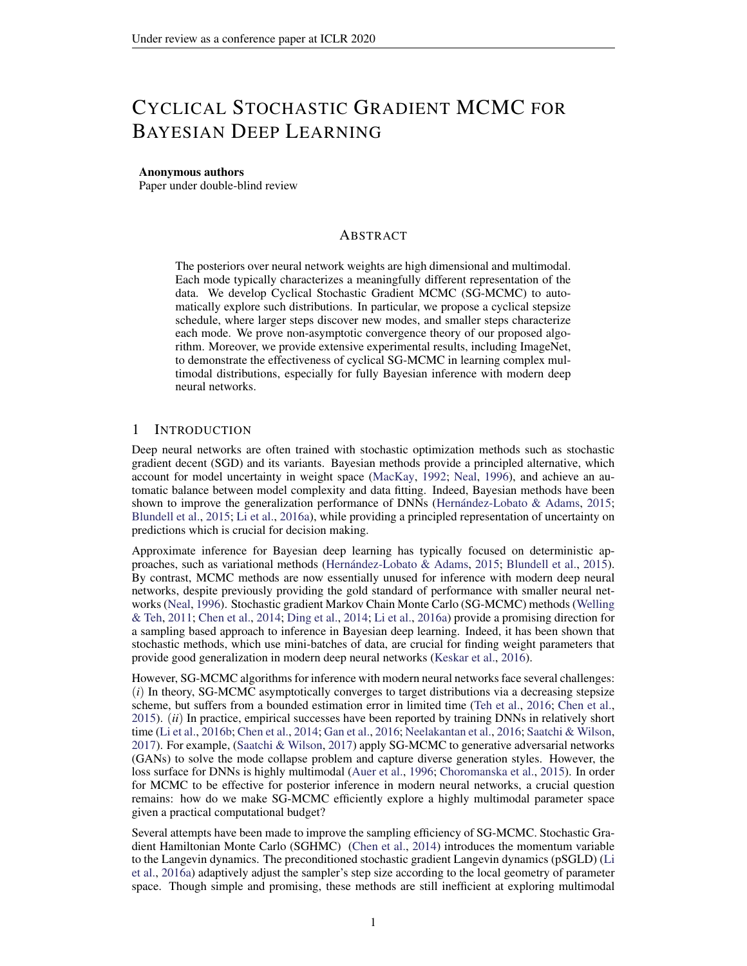- Changyou Chen, David Carlson, Zhe Gan, Chunyuan Li, and Lawrence Carin. Bridging the gap between stochastic gradient MCMC and stochastic optimizationArtlincial Intelligence and Statistics, 2016a.
- Haoyu Chen, Daniel Seita, Xinlei Pan, and John Canny. An ef cient minibatch acceptance test for Metropolis-HastingsarXiv preprint arXiv:1610.0684,82016b.
- Tianqi Chen, Emily Fox, and Carlos Guestrin. Stochastic gradient Hamiltonian Monte Carlo. In ICML, 2014.
- Tzuu-Shuh Chiang and Chii-Ruey Hwang. Diffusion for global optimization in Stat M J. Control Optim, pp. 737–753, 1987. ISSN 0363-0129. doi: 10.1137/0325042. http://dx.doi. org/10.1137/0325042 .
- Anna Choromanska, Mikael Henaff, Michael Mathieuer Grah Arous, and Yann LeCun. The loss surfaces of multilayer networks. Anti cial Intelligence and Statistics 2015.
- Arnak S. Dalalyan and Avetik Karagulyan. User-friendly guarantees for the langevin monte carlo with inaccurate gradient.Stochastic Processes and their Application8 419. ISSN 0304-4149. doi: https://doi.org/10.1016/j.spa.2019.02.016. URtp://www.sciencedirect.com/ science/article/pii/S0304414918304824 .
- Nan Ding, Youhan Fang, Ryan Babbush, Changyou Chen, Robert D Skeel, and Hartmut Neven. Bayesian sampling using stochastic gradient thermostats IRS 2014.
- Zhe Gan, Chunyuan Li, Changyou Chen, Yunchen Pu, Qinliang Su, and Lawrence Carin. Scalable Bayesian learning of recurrent neural networks for language modelling, 2016.
- Timur Garipov, Pavel Izmailov, Dmitrii Podoprikhin, Dmitry P Vetrov, and Andrew G Wilson. Loss surfaces, mode connectivity, and fast ensembling of DNNsAdvances in Neural Information Processing Systemsp. 8789-8798, 2018.
- Ian J Goodfellow, Oriol Vinyals, and Andrew M Saxe. Qualitatively characterizing neural network optimization problemsarXiv preprint arXiv:1412.654, 42014.
- Peter J Green. Reversible jump MCMC computation and bayesian model determi**Bationetrika** 82(4):711–732, 1995.
- Kaiming He, Xiangyu Zhang, Shaoqing Ren, and Jian Sun. Deep residual learning for image recognition. In CVPR 2016.
- José Miguel Herrández-Lobato and Ryan Adams. Probabilistic backpropagation for scalable learning of Bayesian neural networks. IGML, 2015.
- Gao Huang, Yixuan Li, Geoff Pleiss, Zhuang Liu, John E Hopcroft, and Kilian Q Weinberger. Snapshot ensembles: Train 1, get m for freed R, 2017.
- Nitish Shirish Keskar, Dheevatsa Mudigere, Jorge Nocedal, Mikhail Smelyanskiy, and Ping Tak Peter Tang. On large-batch training for deep learning: Generalization gap and sharp man time. preprint arXiv:1609.048362016.
- Anoop Korattikara, Yutian Chen, and Max Welling. Austerity in MCMC land: Cutting the Metropolis-Hastings budget. In CML, 2014.
- Balaji Lakshminarayanan, Alexander Pritzel, and Charles Blundell. Simple and scalable predictive uncertainty estimation using deep ensembles. IPS 2017.
- Chunyuan Li, Changyou Chen, David E Carlson, and Lawrence Carin. Preconditioned stochastic gradient Langevin dynamics for deep neural networks. Anal, 2016a.
- Chunyuan Li, Andrew Stevens, Changyou Chen, Yunchen Pu, Zhe Gan, and Lawrence Carin. Learning weight uncertainty with stochastic gradient MCMC for shape classi catio&VPR, 2016b.

Ilya Loshchilov and Frank Hutter. Sgdr: Stochastic gradient descent with warm restarts. 2016.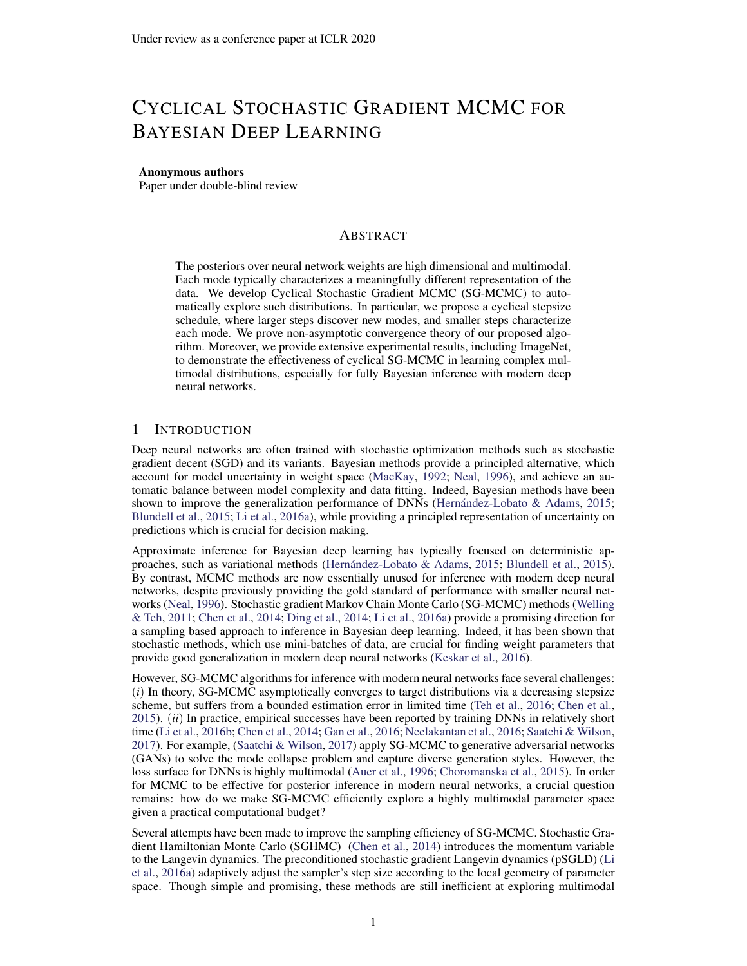- Yi-An Ma, Tianqi Chen, and Emily Fox. A complete recipe for stochastic gradient MCMC. In **NIPS 2015.**
- David JC MacKay. A practical bayesian framework for backpropagation networks al computation, 1992.
- J. C. Mattingly, A. M. Stuart, and M. V. Tretyakov. Construction of numerical time-average and stationary measures via Poisson equations. NUMER. ANAL. 48(2): 552-577, 2010.

Radford M Neal.Bayesian learning for neural networks New York: Springer-Verlag, 1996.

- Arvind Neelakantan, Luke Vilnis, Quoc V Le, Ilya Sutskever, Lukasz Kaiser, Karol Kurach, and James Martens. Adding gradient noise improves learning for very deep netwold Reworkship 2016.
- Adrian E Raftery, Michael A Newton, Jaya M Satagopan, and Pavel N Krivitsky. Estimating the integrated likelihood via posterior simulation using the harmonic mean identity. 2006.
- Maxim Raginsky, Alexander Rakhlin, and Matus Telgarsky. Non-convex learning via stochastic gradient Langevin dynamics: a nonasymptotic analyarixiv preprint arXiv:1702.0384, 2017.
- Yunus Saatchi and Andrew Gordon Wilson. Bayesian GANPS, 2017.
- Leslie N Smith and Nicholay Topin. Super-convergence: Very fast training of residual networks using large learning ratearXiv preprint arXiv:1708.071202017.
- Yee Whye Teh, Alexandre H Thiery, and Sebastian J Vollmer. Consistency and uctuations for stochastic gradient Langevin dynamidshe Journal of Machine Learning Research 16.
- Douglas N VanDerwerken and Scott C Schmidler. Parallel Markov Chain Monte Carl&iv preprint arXiv:1312.74792013.
- S. J. Vollmer, K. C. Zygalakis, and Y. W. Teh. (Non-)asymptotic properties of stochastic gradient Langevin dynamics. Technical Report arXiv:1501.00438, University of Oxford, UK, January 2015. URLhttp://arxiv.org/abs/1501.00438 .
- Sebastian J. Vollmer, Konstantinos C. Zygalakis, and Yee Whye Teh. Exploration of the (non- )asymptotic bias and variance of stochastic gradient langevin dynamics and Machine Learning Research 7(159): 1-48, 2016.
- Max Welling and Yee W Teh. Bayesian learning via stochastic gradient Langevin dynamics. In ICML, 2011.
- Pan Xu, Jinghui Chen, Difan Zou, and Quanquan Gu. Global convergence of Langevin dynamics based algorithms for nonconvex optimization. Xiv preprint arXiv:1707.0661,82017.
- Jianyi Zhang, Ruiyi Zhang, and Changyou Chen. Stochastic Particle-Optimization Sampling and the Non-Asymptotic Convergence Theory. Aiv e-prints art. arXiv:1809.01293, Sep 2018.
- Y. Zhang, P. Liang, and M. Charikar. A hitting time analysis of stochastic gradient Langevin dynamics. InCOLT, 2017.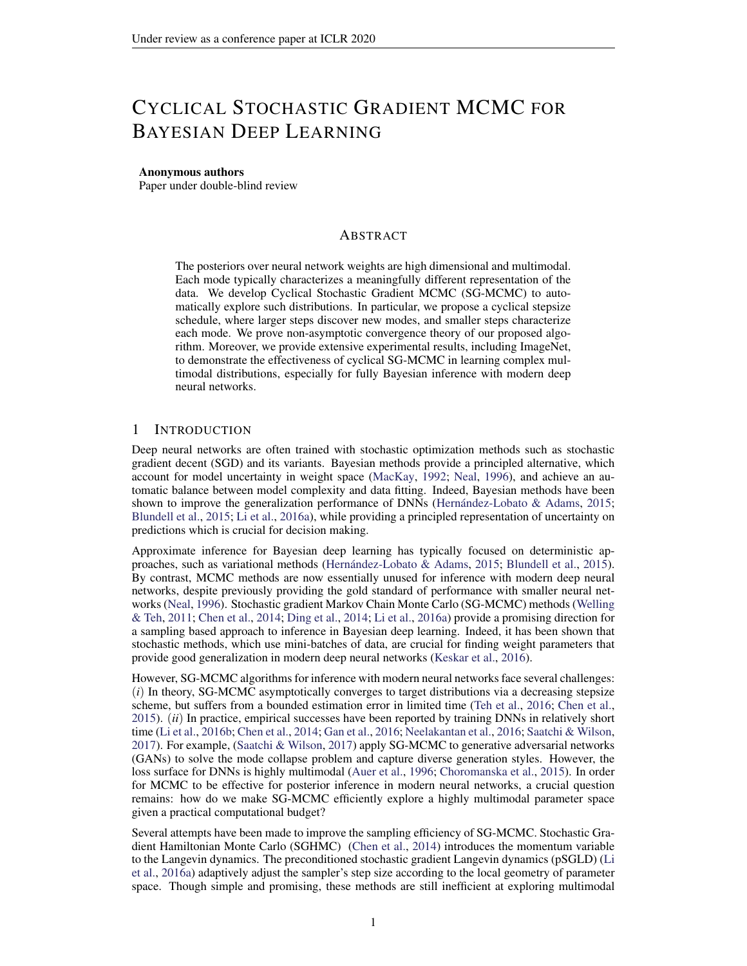# Supplementary Material: Cyclical Stochastic Gradient MCMC for Bayesian Deep Learning

# A EXPERIMENTAL RESULTS

A.1 SYNTHETIC MULTIMODAL DISTRIBUTION

The density of the distribution is

 $F(x) =$  $x^{5}$ i =1 N (xj <sup>i</sup> ; ) ; where  $=\frac{1}{25}$ ,  $=$  f 4; 2; 0; 2; 4g<sup>></sup> f 4; 2; 0; 2; 4g,  $=$ h 0:03 0 0 0:03 i .

In Figure 5, we show the estimated density for SGLD and cSGLD in the non-parallel setting.

| (a) Target | (b) SGLD | (c) cSGLD |
|------------|----------|-----------|
|------------|----------|-----------|

Figure 5: Sampling from a mixture of 25 Gaussians in the non-parallel setting. With a budget of 50K samples, traditional SGLD has only discovered one of the 25 modes, while our proposed cSGLD has explored signi cantly more of the distribution.

To quantitatively show the ability of different algorithms to explore multi-modal distributions, we de ne themode-coveragmetric: when the number of samples falling within the radiust a mode center is larger than a threshold we consider this mode covered. On this dataset, we choose  $r = 0.25$  and  $n = 100$ . Table 4 shows the mode-coverage for several algorithms, based on 10 different runs.

| Algorithm            | Mode coverage |
|----------------------|---------------|
| <b>SGLD</b>          | 1.8 0.13      |
| cSGLD                | 6.7 0.52      |
| <b>Parallel SGLD</b> | 18 0.47       |
| Parallel cSGLD       | 24.4 0.22     |

| Table 4: Mode coverage over 10 different runsstandard error. |  |  |
|--------------------------------------------------------------|--|--|
|                                                              |  |  |

## A.2 BAYESIAN LOGISTIC REGRESSION

We consider Bayesian logistic regression (BLR) on three real-world datasets from the UCI repository: Australian (15 covariates, 690 data points) erman (25 covariates, 1000 data points) and Heart (14 covariates, 270 data points). For all experiments, we collect 5000 samples with 1000 burn-in iterations. Following the settings in (Li et al., 2016a), we report metriantive sample size (ESS) in Table 5.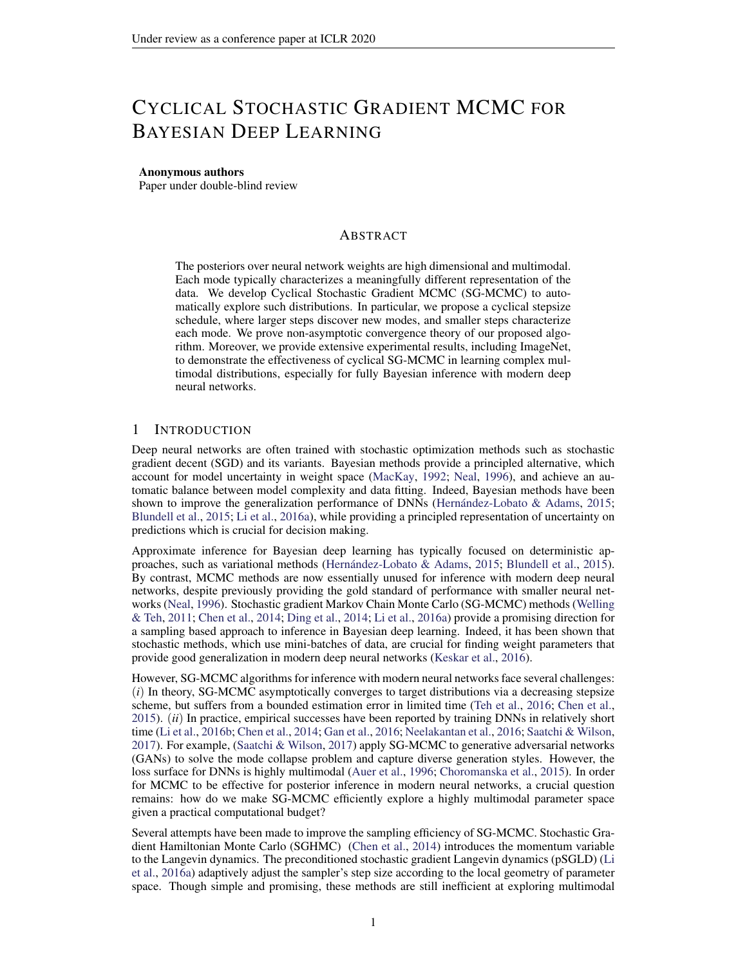Note that BLR isunimodalin parameter space. We use this experiment as an adversarial situation for cSG-MCMC, which we primarily designed to explore multiple modes. We note that even in the unimodal setting, cSG-MCMC more effectively explores the parameter space than popular alternatives. We can also use these experiments to understand how samplers respond to varying parameter dimensionality and training set sizes.

Overall, cSG-MCMC dramatically outperforms SG-MCMC, which demonstrates the fast mixing rate due to the warm restarts. On the small data beath SGHMC and cSGHMC achieve the same results, because the posterior of BLR on this dataset is simple. However, in higher dimensional spacese(g., AustralianandGermar), cSG-MCMC shows signi cantly higher ESS; this result means that each cycle in cSG-MCMC can characterize a different region of the posteriors, combining multiple cycles yields more accurate overall approximation.

|              | Australian | German | Heart |
|--------------|------------|--------|-------|
| SGLD         | 1676       | 492    | 2199  |
| cSGLD        | 2138       | 978    | 2541  |
| <b>SGHMC</b> | 1317       | 2007   | 5000  |
| cSGHMC       | 4707       | 2436   | 5000  |

Table 5: Effective sample size for samples for the unimodal posteriors in Bayesian linear regression, obtained using cyclical and traditional SG-MCMC algorithms, respectively.

# B ASSUMPTIONS

### B.1 ASSUMPTIONS IN WEAK CONVERGENCE ANALYSIS

In the analysis, we de ne a functional that solves the following oisson Equation

L ( 
$$
_{k}
$$
) = (  $_{k}$ ) ; or equivalently,  $\frac{1}{K} \underset{k=1}{\overset{K}{\times}} L$  (  $_{k}$ ) =  $^{\wedge}$  : (3)

The solution functional  $(k)$  characterizes the difference between<sub>k</sub>) and the posterior average

for every  $k$ , thus would typically possess a unique solution, which is at least as smooth as the elliptic or hypoelliptic settings (Mattingly et al., 2010). Following (Chen et al., 2015; Vollmer et al., 2016), we make certain assumptions on the solution function allet the Poisson equation equation 3.

Assumption 2. and its up to 3rd-order derivative $\mathfrak{D}^k$ , are bounded by a functiol, i.e., kD<sup>k</sup> k  $H_k V^{p_k}$  for k = (0; 1; 2; 3),  $H_k$ ;  $p_k > 0$ . Furthermore, the expectation of on f  $_k g$ is bounded: sup EV<sup>p</sup>( $_{\rm k}$ ) < 1, and V is smooth such thas up<sub>s2(0;1)</sub> V<sup>p</sup> (s +(1 s) <sup>0</sup>)  $C(V^{p}() + V^{p}()), 8; ^{0}, p$  maxf 2 $p_{k}$ g for some $C > 0$ .

## B.2 ASSUMPTIONS IN CONVERGENCE UNDERWASSERSTEIN DISTANCE

Following existing work in (Raginsky et al., 2017), we adopt the following standard assumptions summarized in Assumption 3.

Assumption 3. There exists some constarts  $\alpha$  ond B 0, such that U(0) A and r U(0) B.

The function U is  $U$ -smooth :kr U(w) r U(v)k  $L_U$ kw vk.

The function U is( $m_{11}$ ; b) dissipative, which means for some  $m_{11} > 0$  and  $b > 0$ hw;r $U(w)i$  m $U(w)$ kwk $^2$  b.

There exists some constant 2 [0; 1), such that  $E[kr U_k(w)$  r  $U(w)k^2]$ 2 (M<sub>U</sub><sup>2</sup>kwk<sup>2</sup> + B<sup>2</sup>).

We can choose $_0$  which satis es the requirement: $_0$  := log R  $e^{kwk^2}$  <sub>0</sub>(w)dw < 1 .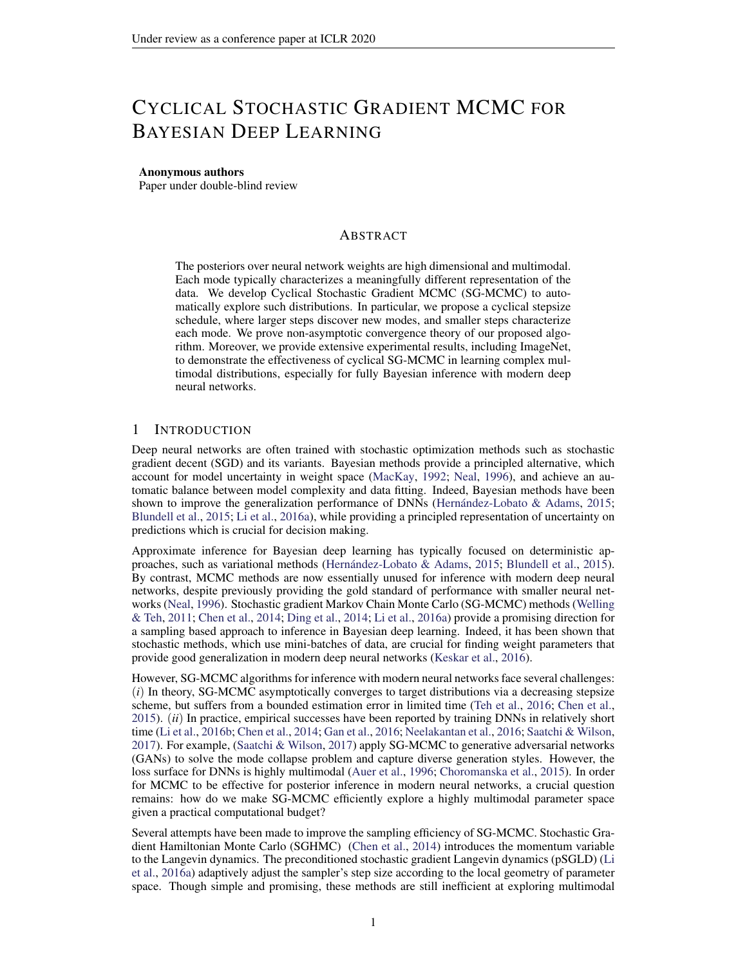## C PROOF OFTHEOREM 1

To prove the theorem, we borrow tools developed by (Chen et al., 2015; Vollmer et al., 2015). We rst rephrase the stepsize assumptions in general SG-MCMC in Assumption 4.

Assumption 4. The algorithm adopts a**N** -th order integrator<sub>b</sub> The step siz**és**<sub>k</sub>g are such that  $0 < h_{k+1} < h_k$ , and satisfy 1)  $\int_{k=1}^{1} h_k = 1$ ; and 2)  $\lim_{k \to 1} h_k = 1$  $\frac{p_{k}}{p_{k-1}} \frac{p_{k+1}}{p_{k+1}} = 0.$ 

Our prove can be derived by the following results from (Chen et al., 2015).

Lemma 1 ((Chen et al., 2015))Let S<sub>K</sub>,  $P_{k=1}^{K}$  h<sub>k</sub>. Under Assumptions 2 and 4, for a smooth test function , the bias and MSE of a decreasing-step-size SG-MCMC will thaorder integrator at  $timeS<sub>l</sub>$  are bounded as: !

BIAS: 
$$
E^{\sim}
$$
 = O  $\frac{1}{S_K} + \frac{P_{K} N_{K+1} P_{K} N_{K+1}}{S_K}$  (4)

MSE: E 
$$
\sim
$$
 <sup>2</sup> C  $\frac{R_k^2}{S_K^2} E k$   $V_1 k^2 + \frac{1}{S_K} + \frac{(P_{K-1} k_1 N_1 + 1)2^2}{S_K^2}$  : (5)

Note that Assumption 4 is only required if one wants to prove the asymptotically unbias of an algorithm. Lemma 1 still applies even if Assumption 4 is not satis ed. In this case one would obtain a biased algorithm, which is the case of cSGLD.

Proof of Theorem 1 Our results is actually a special case of Lemma 1. To see that, rst note that Proof of Theorem Tiour results is actually a special case of Lemma 1. To see that, 1st its<br>our cSGLD adopts a rst order integrator, this = 1. To proceed, note that  $k = \frac{1}{k-1}$ O( $_0$ K), and

$$
\int_{j=0}^{4} \frac{1}{s} \cdot 1 = \frac{1}{4} \int_{j=0}^{2} \frac{1}{s} [\cos(\frac{\text{mod}(j-1; [K=M])}{[K=M]}) + 1]^2
$$
  
\n
$$
= \frac{1}{4} \int_{j=0}^{2} \frac{1}{s} [\cos^2(\frac{\text{mod}(j-1; K=M)}{K=M}) + 1]^2
$$
  
\n
$$
= \frac{1}{4} \frac{1}{s} \int_{0}^{2} \frac{1}{s} [\cos^2(\frac{\text{mod}(j-1; K=M)}{K=M}) + 1]^2
$$
  
\n
$$
= \frac{1}{4} \int_{0}^{2} \frac{1}{s} [\cos(\frac{\text{mod}(j-1; K=M)}{K=M}) + 1]^2
$$
  
\n(6)

As a result, for the bias, we have

E<sup>–</sup> = O 
$$
\frac{1}{S_K} + \frac{P_{K_{-1}}}{S_K} \frac{h_K^{N+1}}{S_K}
$$
 = O  $\frac{1}{\sqrt{6}K} + \frac{3 \frac{2}{0}K = 8}{\sqrt{6}K}$   
= O  $\frac{1}{\sqrt{6}K} + \sqrt{6} = 1$ 

For the MSE, note the -rst term P l  $\frac{h_k^2}{S_K^2}$ Ek V<sub>I</sub>k<sup>2</sup> has a higher order than other terms, thus it is omitted in the big-O notation,e.,

$$
E \sim \frac{2}{\pi} = 0 \frac{1}{\pi} + (\frac{3 \frac{2}{0}K = 8}{\pi})^2
$$

$$
= 0 \frac{1}{\pi} + \frac{2}{0}:
$$

This completes the proof.

# D PROOF OFTHEOREM 2

Proof of the bound foller ( $K$ ;  $_{1}$ ) in cSGLD. Firstly, we introduce the following SDE

$$
d_t = r U(t)dt + \frac{p}{2}dW_t ; \qquad (7)
$$

 $\Box$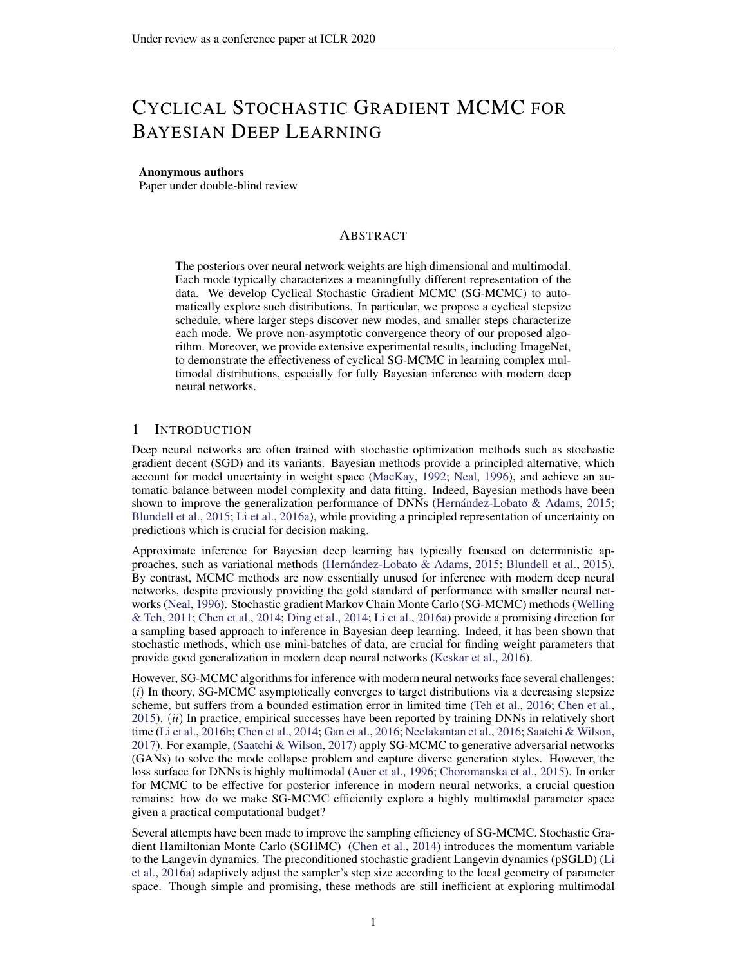Let  $_t$  denote the distribution of<sub>t</sub>, and the stationary distribution of equation 34 $p$ (ejD), which means  $_1$  = p( jD).

$$
k+1 = k r U_{k} (k) k+1 + \frac{p}{2 k+1} k+1
$$
 (8)

Further, let  $_{k}$  denote the distribution of<sub>k</sub>.

Since

$$
W_2(\kappa; 1) \quad W_2(\kappa; P_{\kappa}(\kappa)) + W_2(P_{\kappa}(\kappa; 1))
$$
 (9)

, we need to give the bounds for these two parts respectively.

D.1  $W_2( \kappa; P_{K_{n-1} \kappa})$ 

For the rst part, W<sub>2</sub>( $\kappa$ ;  $P_{\kappa}$ <sub>k=1</sub>  $\kappa$ ), our proof is based on the proof of Lemma 3.6 in (Raginsky et al., 2017) with some modi cations. We rst assume  $(r \cup (w)) = r \cup (w)$ ; 8w 2 R<sup>d</sup>; which is a general assumption according to the way we choose the minibatch. And wepte wehich will be used in the following proof:

$$
p(t) = f k 2 Zj \qquad i \qquad t < \qquad \frac{\mathbf{R}^{t}}{i=1} \qquad \text{(10)}
$$

Then we focus on the following continuous-time interpolation  $\alpha$  of

$$
Z_{t} = \begin{pmatrix} 0 & 1 \\ 0 & r \end{pmatrix} \begin{pmatrix} 0 & 1 \\ 0 & 1 \end{pmatrix} \begin{pmatrix} 0 & 1 \\ 0 & 1 \end{pmatrix} \begin{pmatrix} 0 & 1 \\ 0 & 1 \end{pmatrix}
$$

wherer  $\forall$  r  $\forall$ <sub>k</sub> for t 2  $\sum_{i=1}^{h}$  i,  $\sum_{i=1}^{k+1}$  i . And for each k  $\sum_{i=1}^{h}$  ( $\sum_{i=1}^{k}$  i) and <sub>k</sub> have the same probability law  $_k$ .

Since\_(t) is not a Markov process, we de ne the following process which has the same one-time marginals as (t)

$$
V(t) = \begin{array}{cc} Z_t & P \overline{Z}^t \\ 0 & G_s (V(s)) ds + \frac{P}{2} \frac{Z_t}{0} dW_s^{(d)} \end{array}
$$
 (12)

with

$$
G_{t}(x) := E^{4} r \cup \bigcirc_{i=1}^{g(t)} \frac{1}{x^{i}} \bigcirc_{j=1}^{g(t)} A_{j}(t) = x^{5}
$$
 (13)

Let  $P_V^t := L(V(s): 0 \text{ s } t)$  and  $P^t := L((s): 0 \text{ s } t)$  and according to the proof of Lemma 3.6 in (Raginsky et al., 2017), we can derive a similar result for the relative entr**od**y of and $\mathsf{P}^{\mathsf{t}}$  :

$$
D_{KL} (P_V^t k P^t) = \begin{cases} Z & d P_V^t \log \frac{d P_V^t}{d P^t} \\ = \frac{1}{4} Z_t^t & \text{Ekr } U(V(s)) \quad G_s(V(s))k^2 ds \\ = \frac{1}{4} Z_t^0 & \text{Ekr } U(\underline{ } (s)) \quad G_s(\underline{ } (s))k^2 ds \end{cases}
$$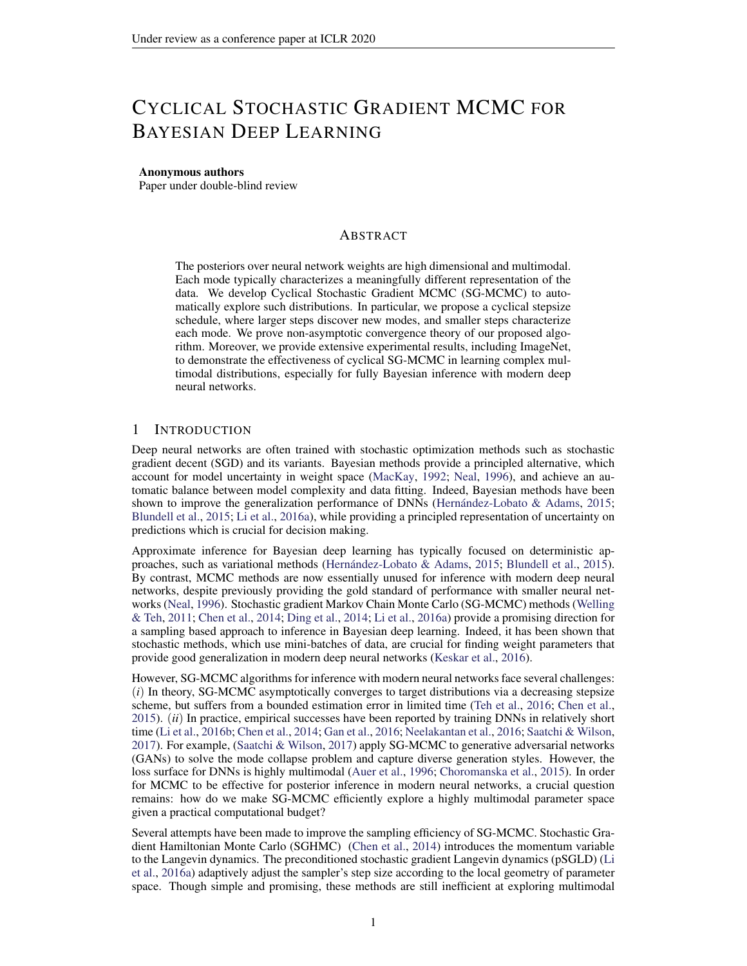The last line follows the fact that  $((s)) = L(V(s))$ ; 8s. The last line follows in a k and we can use the martingale property of the integral to derive:<br>Then we will lett =  $\sum_{k=1}^{K} k_k$  and we can use the martingale property of the integral to derive:

D<sub>KL</sub> 
$$
(P_V^{k=1} * kP^{P_{k=1}^{K}})
$$
  
\n
$$
= \frac{1}{4} \int_{j=0}^{k} \int_{k=1}^{k+1} \int_{k=1}^{k} Ekr U((s)) G_s((s))k^2 ds
$$
\n
$$
\frac{1}{2} \int_{j=0}^{k} \int_{k=1}^{k+1} \int_{k=1}^{k} Ekr U((s)) r U((s)) k^2 ds
$$
\n
$$
+ \frac{1}{2} \int_{j=0}^{k} \int_{k=1}^{k} Ekr U((s)) r U((s)) s^2 ds
$$
\n
$$
+ \frac{1}{2} \int_{j=0}^{k} \int_{k=1}^{k} Ekr U((s)) G_s((s))k^2 ds
$$
\n
$$
+ \frac{1}{2} \int_{j=0}^{k} \int_{k=1}^{k} Ekr U((s)) G_s((s))k^2 ds
$$
\n
$$
+ \frac{1}{2} \int_{j=0}^{k} \int_{k=1}^{k+1} \int_{k=1}^{k} Ek(s) U((s)) k^2 ds
$$
\n
$$
+ \frac{1}{2} \int_{j=0}^{k} \int_{k=1}^{k} Ekr U((s)) G_s((s))k^2 ds
$$
\n
$$
+ \frac{1}{2} \int_{j=0}^{k} \int_{k=1}^{k} Ekr U((s)) G_s((s)) k^2 ds
$$
\n
$$
+ \frac{1}{2} \int_{j=0}^{k} \int_{k=1}^{k} Ekr U((s)) G_s((s)) k^2 ds
$$
\n
$$
+ \frac{1}{2} \int_{k=1}^{k} \int_{k=1}^{k} Ekr U((s)) G_s((s)) k^2 ds
$$
\n
$$
+ \frac{1}{2} \int_{k=1}^{k} \int_{k=1}^{k} Ekr U((s)) G_s((s)) k^2 ds
$$
\n
$$
+ \frac{1}{2} \int_{k=1}^{k} \int_{k=1}^{k} Ekr U((s)) K^2 ds
$$
\n
$$
+ \frac{1}{2} \int_{k=1}^{k} \int_{k=1}^{k} Ekr U((s)) K^2 ds
$$
\n
$$
+ \frac{1}{2} \int_{k
$$

For the rst part (14), we consider sonse  $\begin{bmatrix} P_{i} & P_{i+1} & \dots & P_{k-1} & k \end{bmatrix}$ , for which the following holds:

k=1

k=1

$$
\begin{array}{lll}\n\mathbf{X} & & & \\
\mathbf{X} & & & \\
\mathbf{X} & & & \\
\mathbf{X} & & & \\
\mathbf{X} & & & \\
\mathbf{X} & & & \\
\mathbf{X} & & & \\
\mathbf{X} & & & \\
\mathbf{X} & & & \\
\mathbf{X} & & & \\
\mathbf{X} & & & \\
\mathbf{X} & & & \\
\mathbf{X} & & & \\
\mathbf{X} & & & \\
\mathbf{X} & & & \\
\mathbf{X} & & & \\
\mathbf{X} & & & \\
\mathbf{X} & & & \\
\mathbf{X} & & & \\
\mathbf{X} & & & \\
\mathbf{X} & & & \\
\mathbf{X} & & & \\
\mathbf{X} & & & \\
\mathbf{X} & & & \\
\mathbf{X} & & & \\
\mathbf{X} & & & \\
\mathbf{X} & & & \\
\mathbf{X} & & & \\
\mathbf{X} & & & \\
\mathbf{X} & & & \\
\mathbf{X} & & & \\
\mathbf{X} & & & \\
\mathbf{X} & & & \\
\mathbf{X} & & & \\
\mathbf{X} & & & \\
\mathbf{X} & & & \\
\mathbf{X} & & & \\
\mathbf{X} & & & \\
\mathbf{X} & & & \\
\mathbf{X} & & & \\
\mathbf{X} & & & \\
\mathbf{X} & & & \\
\mathbf{X} & & & \\
\mathbf{X} & & & \\
\mathbf{X} & & & \\
\mathbf{X} & & & \\
\mathbf{X} & & &
$$

Thus, we can use Lemma 3.1 and 3.2 in (Raginsky et al., 2017) for the following result:

Ek<sub>2</sub>(s) 
$$
\int_{k=1}^{N} k^2
$$
 3  $\int_{j+1}^{2} Ekr U(j)k^2 + 3 \int_{j+1}^{2} Ekr U(j) r U_j(j)k^2 + 6 j+1 d$   
12  $\int_{j+1}^{2} (L_U^2 Ek jk^2 + B^2) + 6 j+1 d$ 

Hence we can bound the rst part, (choosing 1),

$$
\frac{L_{U}^{2}}{2} \sum_{j=0}^{i} \sum_{k=1}^{i+1} k E_{k}(s) \quad \int_{k=1}^{i} (k^{2}ds)
$$
\n
$$
\frac{L_{U}^{2}}{2} \sum_{j=0}^{i} (k^{2}ds)
$$
\n
$$
\frac{L_{U}^{2}}{2} \sum_{j=0}^{i} (k^{2}ds)
$$
\n
$$
L_{U_{0}}^{2} \max_{j} \frac{6(L_{U}^{2}Ek_{j}k^{2} + B^{2}) + 3d \left(\frac{k^{2}L_{U}}{k^{2}L^{2}}\right)}{8}
$$
\n
$$
L_{U_{0}}^{2} \max_{j} \frac{6(L_{U}^{2}Ek_{j}k^{2} + B^{2}) + 3d \left(\frac{k^{2}L_{U}}{k^{2}L^{2}}\right)}{8}
$$
\n
$$
(17)
$$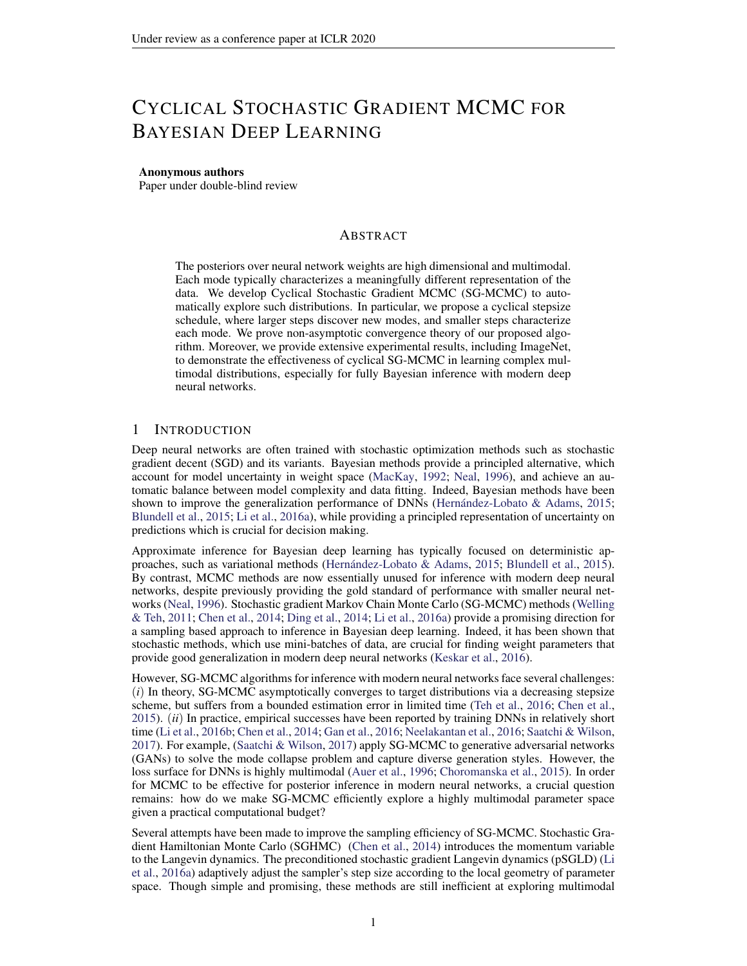The last line (17) follows from equation 6. The second part (15) can be bounded as follows:

$$
\frac{1}{2} \sum_{j=0}^{i} \sum_{k=1}^{p} \sum_{k=1}^{i} (k - 1) (1 - (i - 1) - 1) (1 - 1) (1 - 1) (1 - 1) (1 - 1) (1 - 1) (1 - 1) (1 - 1) (1 - 1) (1 - 1) (1 - 1) (1 - 1) (1 - 1) (1 - 1) (1 - 1) (1 - 1) (1 - 1) (1 - 1) (1 - 1) (1 - 1) (1 - 1) (1 - 1) (1 - 1) (1 - 1) (1 - 1) (1 - 1) (1 - 1) (1 - 1) (1 - 1) (1 - 1) (1 - 1) (1 - 1) (1 - 1) (1 - 1) (1 - 1) (1 - 1) (1 - 1) (1 - 1) (1 - 1) (1 - 1) (1 - 1) (1 - 1) (1 - 1) (1 - 1) (1 - 1) (1 - 1) (1 - 1) (1 - 1) (1 - 1) (1 - 1) (1 - 1) (1 - 1) (1 - 1) (1 - 1) (1 - 1) (1 - 1) (1 - 1) (1 - 1) (1 - 1) (1 - 1) (1 - 1) (1 - 1) (1 - 1) (1 - 1) (1 - 1) (1 - 1) (1 - 1) (1 - 1) (1 - 1) (1 - 1) (1 - 1) (1 - 1) (1 - 1) (1 - 1) (1 - 1) (1 - 1) (1 - 1) (1 - 1) (1 - 1) (1 - 1) (1 - 1) (1 - 1) (1 - 1) (1 - 1) (1 - 1) (1 - 1) (1 - 1) (1 - 1) (1 - 1) (1 - 1) (1 - 1) (1 - 1) (1 - 1) (1 - 1) (1 - 1) (1 - 1) (1 - 1) (1 - 1) (1 - 1) (1 - 1) (1 - 1) (1 - 1) (1 - 1) (1 - 1) (1 - 1) (1 - 1) (1 - 1) (1 - 1) (1 - 1) (1 - 1) (1 - 1) (1 - 1) (1 - 1) (1 - 1) (1 - 1) (1 - 1) (1 - 1) (1 - 1) (1
$$

Due to the data-processing inequality for the relative entropy, we have

D<sub>KL</sub> ( 
$$
\kappa
$$
 k P<sub>K=1</sub>  $\kappa$ ) D<sub>KL</sub> (P<sub>V</sub><sup>t</sup> kP<sup>t</sup>)  
\n
$$
\frac{L_{U}^{2}}{2} \sum_{j=0}^{K} \sum_{k=1}^{P} \sum_{k=1}^{i+1} \sum_{k=1}^{k} Ek_{s}(s) - \sum_{k=1}^{K} i k^{2} ds
$$
\n+  $\frac{1}{2} \sum_{j=0}^{K} \sum_{k=1}^{P} \sum_{k=1}^{i+1} \sum_{k=1}^{K} Ekr U(-\sum_{k=1}^{K} i) G_{s}(-\sum_{k=1}^{K} i k^{2}) ds$   
\n+  $\sum_{j=0}^{K} \sum_{j=1}^{P} \sum_{k=1}^{K} Ek_{s}(k^{2} + B^{2}) + 3d \frac{3}{8} \frac{3}{6} \sum_{k=1}^{K} \sum_{k=1}^{K} \sum_{k=1}^{K} \sum_{k=1}^{K} \sum_{k=1}^{K} \sum_{k=1}^{K} \sum_{k=1}^{K} \sum_{k=1}^{K} \sum_{k=1}^{K} \sum_{k=1}^{K} \sum_{k=1}^{K} \sum_{k=1}^{K} \sum_{k=1}^{K} \sum_{k=1}^{K} \sum_{k=1}^{K} \sum_{k=1}^{K} \sum_{k=1}^{K} \sum_{k=1}^{K} \sum_{k=1}^{K} \sum_{k=1}^{K} \sum_{k=1}^{K} \sum_{k=1}^{K} \sum_{k=1}^{K} \sum_{k=1}^{K} \sum_{k=1}^{K} \sum_{k=1}^{K} \sum_{k=1}^{K} \sum_{k=1}^{K} \sum_{k=1}^{K} \sum_{k=1}^{K} \sum_{k=1}^{K} \sum_{k=1}^{K} \sum_{k=1}^{K} \sum_{k=1}^{K} \sum_{k=1}^{K} \sum_{k=1}^{K} \sum_{k=1}^{K} \sum_{k=1}^{K} \sum_{k=1}^{K} \sum_{k=1}^{K} \sum_{k=1}^{K} \sum_{k=1}^{K} \sum_{k=1}^{K} \sum_{k=1}^{K} \sum_{k=1}^{K$ 

According to the proof of Lemma 3.2 in (Raginsky et al., 2017), we can bound the Ettergitk<sup>2</sup>

Ek <sub>k+1</sub> k<sup>2</sup> (1 2 <sub>k+1</sub> m<sub>U</sub> + 4  $^2$ <sub>k+1</sub> M<sub>U</sub><sup>2</sup>)Ek <sub>k</sub> k<sup>2</sup> + 2 <sub>k+1</sub> b+ 4  $^2$ <sub>k+1</sub> B<sup>2</sup> +  $\frac{2$  k+1

Similar to the statement of Lemma 3.2 in (Raginsky et al., 2017), we can $_0 \mathcal{L}$  (0; 1 ^  $\frac{m_V}{4M_U^2}$ ). Then, we can know that

$$
Ek_{k+1}k^{2} (1 2 min_{min} m_{U} + 4 {2 min_{min} M_{U}^{2})Ek_{k}k^{2} + 2 0b + 4 {2B^{2} + 20d \over 0} (18)
$$
  
\n
$$
h_{1}
$$
\nwhere min is de ned as min ,  $\frac{0}{2}$  cos  $\frac{mod dK=M e 1; dK=M e}{dK=M e}$  + 1.

There are two cases to consider.

If 1 2 min 
$$
m_U + 4 \frac{2}{\text{min}} M_U^2
$$
 0, then from equation 18 it follows that  
\n
$$
Ek_{k+1}k^2
$$
 2<sub>0</sub>b+4<sub>0</sub><sup>2</sup>B<sup>2</sup> +  $\frac{2}{\text{0}}$   
\n
$$
Ek_{0}k^2 + 2(b+2B^2 + \frac{d}{n})
$$

If 0 1 2 min m<sub>U</sub> + 4 
$$
\frac{2}{\text{min}} M_U^2
$$
 1, then iterating equation 18 gives  
\nEk<sub>k</sub>k<sup>2</sup> (1 2 min m<sub>U</sub> + 4  $\frac{2}{\text{min}} M_U^2$ )<sup>k</sup>Ek<sub>0</sub>k<sup>2</sup> +  $\frac{0b + 2 \frac{2}{0}B^2 + \frac{0d}{\text{min}}}{\text{min} M_U^2}$  (19)

$$
\frac{Ek_0k^2 + \frac{20}{m_0}}{m_0 \min} (b + 2B^2 + \frac{a}{m_0})
$$
 (20)

<sup>&</sup>lt;sup>1</sup>Note: we only focus on the case when mod  $M = 0$ .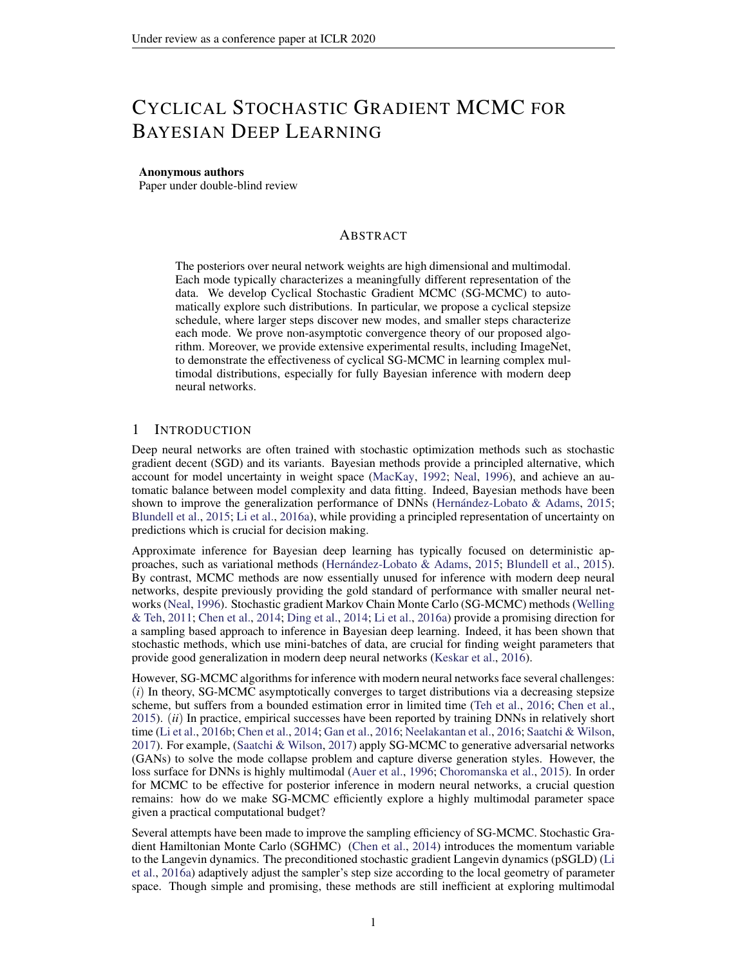Now, we have

$$
\max_{0 \ j \ K} (L_{U}^{2} E k_{j} k^{2} + B^{2})
$$
  

$$
(L_{U}^{2}(\ _{0} + 2(1 \ ^{\alpha} \frac{0}{m_{U} \ m_{in}})(b + 2B^{2} + d)) + B^{2}) := C_{0}
$$

Due to the expression of  $_{min}^{\circ}$ , C<sub>0</sub> is independent of <sub>0</sub>. Then we denote the  $_{0}^{2}(C_{0} + d)$  as C<sub>1</sub> and we can derive

D<sub>KL</sub> ( 
$$
\kappa
$$
 k P<sub>K=1</sub>  $\kappa$ )  $C_1(\frac{3\frac{2}{0}K}{8})$  +  $C_0(\frac{K_0}{2})$ 

Then according to Proposition 3.1 in (Bolley & Villani, 2005) and Lemma 3.3 in (Raginsky et al., 2017), if we denote  $_0 + 2b + 2d$  as  $C_2$ , we can derive the following result:

$$
W_{2}(\kappa; P_{K-1}^{\kappa}) \quad (12 + C_{2}(\kappa))^{\frac{1}{2}} [D_{KL}(\kappa k P_{K-1}^{\kappa})^{\frac{1}{2}} + D_{KL}(\kappa k P_{K-1}^{\kappa})^{\frac{1}{4}}]
$$
  

$$
(12 + \frac{C_{2}K}{2})^{\frac{1}{2}} [(\frac{3C_{1}}{8}\frac{2}{\delta}K + \frac{KC_{0}}{2}\frac{0}{\delta})^{\frac{1}{2}} + (\frac{3C_{1}}{16}\frac{2}{\delta}K + \frac{KC_{0}}{4}\frac{0}{\delta})^{\frac{1}{4}}]
$$

D.2  $W_2$ ( $\begin{array}{cc} P_{\kappa} & , & 1 \end{array}$ )

We can directly get the following results from (3.17) in (Raginsky et al., 2017) that there exist some positive constant $(C_3; C_4)$ ,

$$
W_2(\begin{array}{cc} P_{k_{r-1} - k} ; & 1 \end{array}) \quad C_3 \exp(\begin{array}{cc} X & 0 \end{array})
$$

Now combining the bounds for  $W_2$  ( $\kappa$ ;  $P_{\kappa}$   $\kappa$ ) and  $W_2$  ( $P_{\kappa}$   $\kappa$ ,  $\kappa$ ), substituting  $\kappa$  = O(1=K), and noting $W_2$ ( $P_{\kappa}$ <sub>k=1k</sub>; <sub>1</sub>) decreases w.r.t. we arrive at the bound stated in the theorem.

 $\Box$ 

### E RELATION WITH SGLD

For the standard polynomially-decay-stepsize SGLD, the convergence rate is bounded as

$$
W_{2}(\sim_{K}; 1) \qquad W_{2}(\sim_{K}; \, P_{K \atop k=1}^{K} h_{k}) + W_{2}(\, P_{K \atop k=1}^{K} h_{k}; 1) \qquad (21)
$$
\n
$$
\text{where} W_{2}(\sim_{K}; \, P_{K \atop k=1}^{K} h_{k}) \qquad (6 + h_{0} \, P_{K-1} \, \frac{1}{k})^{\frac{1}{2}} \qquad (6 + h_{0} \, P_{K-1} \, \frac{1}{k})^{\frac{1}{2}} \qquad (6 + h_{0} \, P_{K-1} \, \frac{1}{k})^{\frac{1}{2}} \qquad (6 + h_{0} \, P_{K-1} \, \frac{1}{k})^{\frac{1}{2}} \qquad (6 + h_{0} \, P_{K-1} \, \frac{1}{k})^{\frac{1}{2}} \qquad (6 + h_{0} \, P_{K-1} \, \frac{1}{k})^{\frac{1}{2}} \qquad (6 + h_{0} \, P_{K-1} \, \frac{1}{k})^{\frac{1}{2}} \qquad (6 + h_{0} \, P_{K-1} \, \frac{1}{k})^{\frac{1}{2}} \qquad (6 + h_{0} \, P_{K-1} \, \frac{1}{k})^{\frac{1}{2}} \qquad (6 + h_{0} \, P_{K-1} \, \frac{1}{k})^{\frac{1}{2}} \qquad (6 + h_{0} \, P_{K-1} \, \frac{1}{k})^{\frac{1}{2}} \qquad (6 + h_{0} \, P_{K-1} \, \frac{1}{k})^{\frac{1}{2}} \qquad (6 + h_{0} \, P_{K-1} \, \frac{1}{k})^{\frac{1}{2}} \qquad (6 + h_{0} \, P_{K-1} \, \frac{1}{k})^{\frac{1}{2}} \qquad (6 + h_{0} \, P_{K-1} \, \frac{1}{k})^{\frac{1}{2}} \qquad (6 + h_{0} \, P_{K-1} \, \frac{1}{k})^{\frac{1}{2}} \qquad (6 + h_{0} \, P_{K-1} \, \frac{1}{k})^{\frac{1}{2}} \qquad (6 + h_{0} \, P_{K-1} \, \frac{1}{k})^{\frac{1}{2}} \qquad (6 + h_{0} \
$$

Proof of the bound  $\frac{dW_2(x_{K}; 1)}{dx_{K}}$  in the standard SGLD Similar to the proof of  $W_2(x_{K}; 1)$  in cSGLD, we get the following update rule for SGLD with the stepsize following a polynomial decay i.e.,  $h_k = \frac{h_0}{k}$ ,

$$
k_{k+1} = k r U_{k} (k) h_{k+1} + \frac{p}{2h_{k+1}} h_{k+1}
$$
 (22)

Let  $\sim_k$  denote the distribution of<sub>k</sub>.

**Since** 

$$
W_2(\sim_K; 1)
$$
  $W_2(\sim_K; P_{K_{n1} h_k}) + W_2(P_{K_{n1} h_k}; 1)$  (23)

, we need to give the bounds for these two parts respectively.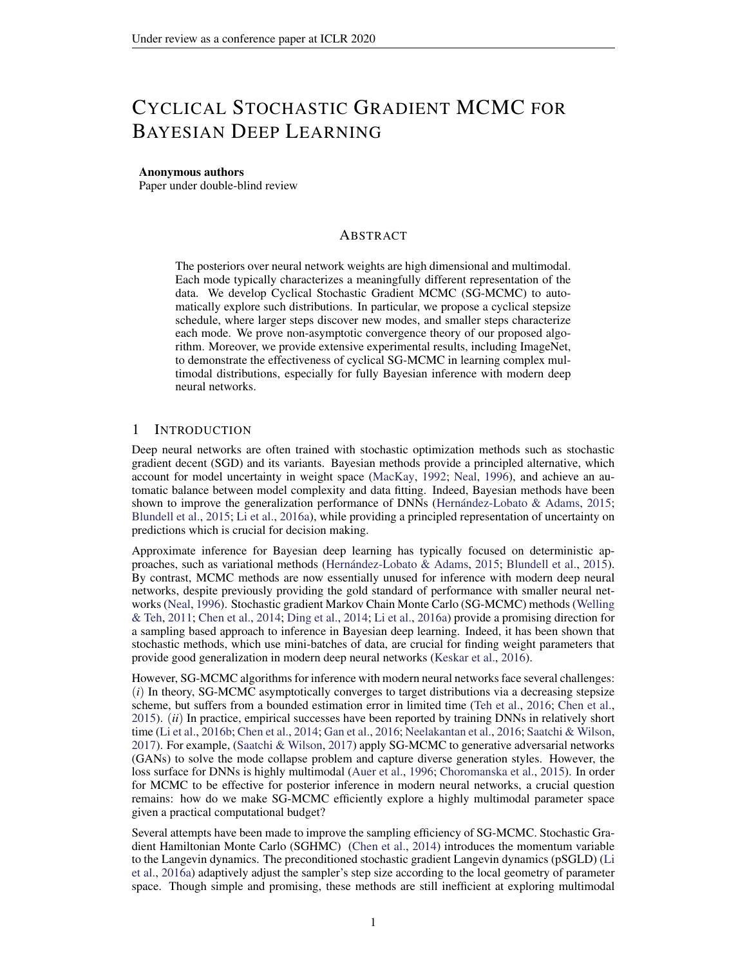E.1 
$$
W_2(\sim_K; P_{K_{n+1} h_k})
$$

We rst assume E(r  $U(w)$ ) = r U(w); 8w 2 R<sup>d</sup>; which is a general assumption according to the way we choose the minibatch. Following the proof in(Raginsky et al., 2017) and the analysis of the SPOS method in (Zhang et al., 2018), we de ne the followii the which will be used in the following proof:

$$
p(t) = f k 2 Zj^{k} h_i t < \sum_{i=1}^{k+1} h_i g
$$
 (24)

Then we focus on the following continuous-time interpolation  $\alpha$  is

$$
I(t) = \begin{bmatrix} 2 & 0 & 1 \\ 0 & r & 0 \end{bmatrix} \begin{bmatrix} 8^{(s)} & 1 \\ 8^{(s)} & 1 \end{bmatrix} \begin{bmatrix} 2 & 1 \\ 8 & 1 \end{bmatrix} \begin{bmatrix} 2 & 1 \\ 0 & 0 \end{bmatrix} \begin{bmatrix} 2 & 1 \\ 0 & 1 \end{bmatrix}
$$
 (25)

(26)

wherer  $\forall$  r  $\forall$ <sub>k</sub> for t 2  $\sum_{i=1}^{h_p}$   $\sum_{j=1}^{k+1}$   $h_i$  . And for eachk ,  $\sum_{i=1}^{k}$   $\sum_{j=1}^{k}$   $h_i$  and  $\sum_{k}$  have the same probability law- $k$ .

Since\_(t) is not a Markov process, we de ne the following process which has the same one-time marginals  $as(t)$ 

$$
V(t) = \int_{0}^{Z} G_{s} (V(s)) ds + \frac{p}{2} \int_{0}^{Z} dW_{s}^{(d)} \qquad (27)
$$

with

$$
2 \t 0 \t 1 \t 3
$$
  
\n
$$
G_t(x) := E^4 r \cup \bigcirc (28)
$$
  
\n
$$
G_{t+1}(x) := E^4 r \cup \bigcirc (28)
$$

Let  $P_V^t := L(V(s): 0 \text{ s } t)$  and  $P^t := L((s): 0 \text{ s } t)$  and according to the proof of Lemma 3.6 in (Raginsky et al., 2017), we can derive the similar result for the relative entropy of and $\mathsf{P}^{\mathsf{t}}$  :

$$
D_{KL} (P_V^t k P^t) = \begin{cases} Z & dP_V^t \log \frac{dP_V^t}{dP^t} \\ = \frac{1}{4} Z_t^t & \text{Ekr } U(V(s)) & G_s(V(s))k^2 ds \\ = \frac{1}{4} Z_t^0 & \text{Ekr } U(\underline{ } (s)) & G_s(\underline{ } (s))k^2 ds \end{cases}
$$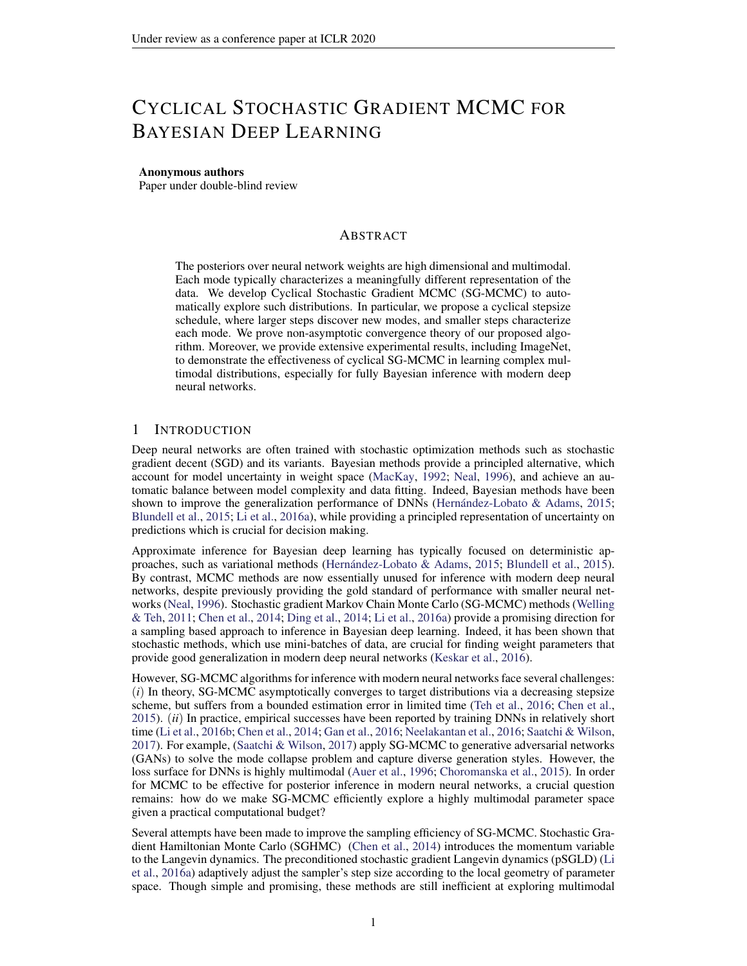The last line follows the fact that  $((s)) = L(V(s))$ ; 8s. The last line follows in a call that  $\frac{1}{k-1}$  by  $\frac{1}{k}$  and we can use the martingale property of integral to derive:

D<sub>KL</sub> (P<sub>V</sub><sup>K=1</sup> h<sub>k</sub> RP<sup>K</sup><sub>k=1</sub> h<sub>k</sub>)  
\n= 
$$
\frac{1}{4}
$$
  $\int_{j=0}^{R} \int_{k=1}^{i+1} h_k$  Ekr U( (s)) G<sub>s</sub>( (s))k<sup>2</sup> ds  
\n $\frac{1}{2}$   $\int_{j=0}^{R} \int_{k=1}^{i+1} h_k$  Ekr U( (s)) r U( (h<sub>i</sub>)k<sup>2</sup> ds  
\n $\frac{1}{2}$   $\int_{j=0}^{R} \int_{k=1}^{i+1} h_k$  Ekr U( (s)) r U( (h<sub>i</sub>)k<sup>2</sup> ds  
\n $+ \frac{1}{2}$   $\int_{j=0}^{R} \int_{k=1}^{i+1} h_k$   $\int_{k=1}^{R} g(s)$   $\int_{k=1}^{R} h_k$   
\n $\frac{1}{2}$   $\int_{j=0}^{R} \int_{k=1}^{i+1} h_k$   $\int_{k=1}^{R} g(s)$   $\int_{k=1}^{R} h_k$   
\n $\frac{1}{2}$   $\int_{j=0}^{R} \int_{k=1}^{i+1} h_k$   $\int_{k=1}^{R} g(s)$   $\int_{k=1}^{R} h_k$   $\int_{k=1}^{R} g(s)$   $\int_{k=1}^{R} h_k$  (29)  
\n $+ \frac{1}{2}$   $\int_{j=0}^{R} \int_{k=1}^{i+1} h_k$   $\int_{k=1}^{R} g(s)$   $\int_{k=1}^{R} h_k$  (29)

For the rst part (29), we consider sonse  $\left[\begin{array}{cc} P_{j_{k=1}} & h_k \\ h_{k+1} & h_k \end{array}\right]$ , the following equation holds:

k=1

k=1

$$
(\mathbf{s}) \quad \underset{k=1}{\overset{\mathcal{N}}{\underset{k=1}{\overset{k=1}{\bigwedge}}} h_k} \mathbf{h}_k
$$
\n
$$
= (\mathbf{s} \quad \underset{k=1}{\overset{\mathcal{N}}{\underset{k=1}{\overset{k=1}{\bigwedge}}} h_k} \mathbf{r} \mathbf{U}_{k(k+1 + \frac{p}{2}(W_s^{(d)} \mathbf{W} \mathbf{F}_{k+1}^{(d)})} \mathbf{h}_k)
$$
\n
$$
= (\mathbf{s} \quad \underset{k=1}{\overset{\mathcal{N}}{\underset{k=1}{\overset{k=1}{\bigtriangleup}}} h_k} \mathbf{r} \mathbf{U}_{k(k+1 + \frac{p}{2}(W_s^{(d)} \mathbf{U} \mathbf{F} \mathbf{F}_{k(k+1 + \frac{p}{2}(W_s^{(d)} \mathbf{W} \mathbf{F}_{k+1}^{(d)})} \mathbf{h}_k)
$$
\n
$$
= (\mathbf{s} \quad \underset{k=1}{\overset{\mathcal{N}}{\underset{k=1}{\overset{k=1}{\bigtriangleup}}} h_k} \mathbf{r} \mathbf{U}_{k(k+1 + \frac{p}{2}(W_s^{(d)} \mathbf{U} \mathbf{F} \mathbf{F}_{k(k+1)})} \mathbf{F}_{k(k+1 + \frac{p}{2}(W_s^{(d)} \mathbf{W} \mathbf{F}_{k+1}^{(d)})})
$$
\n
$$
= (\mathbf{s} \quad \underset{k=1}{\overset{\mathcal{N}}{\bigtriangleup}} h_k \mathbf{F}_{k(k+1 + \frac{p}{2}(W_s^{(d)} \mathbf{W} \mathbf{F}_{k+1}^{(d)})} \mathbf{F}_{k(k+1 + \frac{p}{2}(W_s^{(d)} \mathbf{W} \mathbf{F} \mathbf{F}_{k+1}^{(d)})})
$$
\n
$$
= (\mathbf{s} \quad \underset{k=1}{\overset{\mathcal{N}}{\bigtriangleup}} h_k \mathbf{F}_{k(k+1 + \frac{p}{2}(W_s^{(d)} \mathbf{W} \mathbf{F}_{k+1}^{(d)})} \mathbf{F}_{k(k+1 + \frac{p}{2}(W_s^{(d)} \mathbf{W} \mathbf{F}_{k+1}^{(d)})})
$$
\n
$$
= (\mathbf{s} \quad \unders
$$

Thus, we can use Lemma 3.1 and 3.2 in (Raginsky et al., 2017) for the following result:

$$
Ek_{(s)} \t\t N_{k=1}
$$
\n
$$
3h_{j+1}^{2} Ekr U(j)k^{2} + 3h_{j+1}^{2} Ekr U(j) r U_{j}(j)k^{2} + 6h_{j+1} d
$$
\n
$$
12h_{j+1}^{2} (L_{U}^{2} Ek_{j}k^{2} + B^{2}) + 6h_{j+1} d
$$

Hence we can bound the rst part, (choosimg 1),

$$
\frac{L_{U}^{2}}{2} \sum_{j=0}^{K} \sum_{k=1}^{12} \frac{P_{i+1}}{h_{k}} E_{K}(s) \quad (h_{k})k^{2}ds
$$
\n
$$
\frac{L_{U}^{2}}{2} \sum_{j=0}^{K} \frac{12h_{j+1}^{3}}{12h_{j+1}^{3}} (L_{U}^{2} E_{K} i k^{2} + B^{2}) + 6h_{j+1}^{2} d
$$
\n
$$
L_{U}^{2} \max_{j=0} \max_{j=0}^{K} 6(L_{U}^{2} E_{K} i k^{2} + B^{2}) + 3d \left(\frac{K}{h_{j+1}^{2}}\right)
$$
\n
$$
L_{U}^{2} \max_{j=0} \max_{j=0}^{K} 6(L_{U}^{2} E_{K} i k^{2} + B^{2}) + 3d \frac{2}{6}h_{0}^{2}
$$
\n(32)

where the last line follows from the fact that

$$
\frac{4x + 1}{(j+1)^3} \frac{4x + 1}{(j+1)^2} \frac{4x + 1}{(j+1)^2} \frac{4x + 1}{(j+1)^2} = \frac{2}{6}:
$$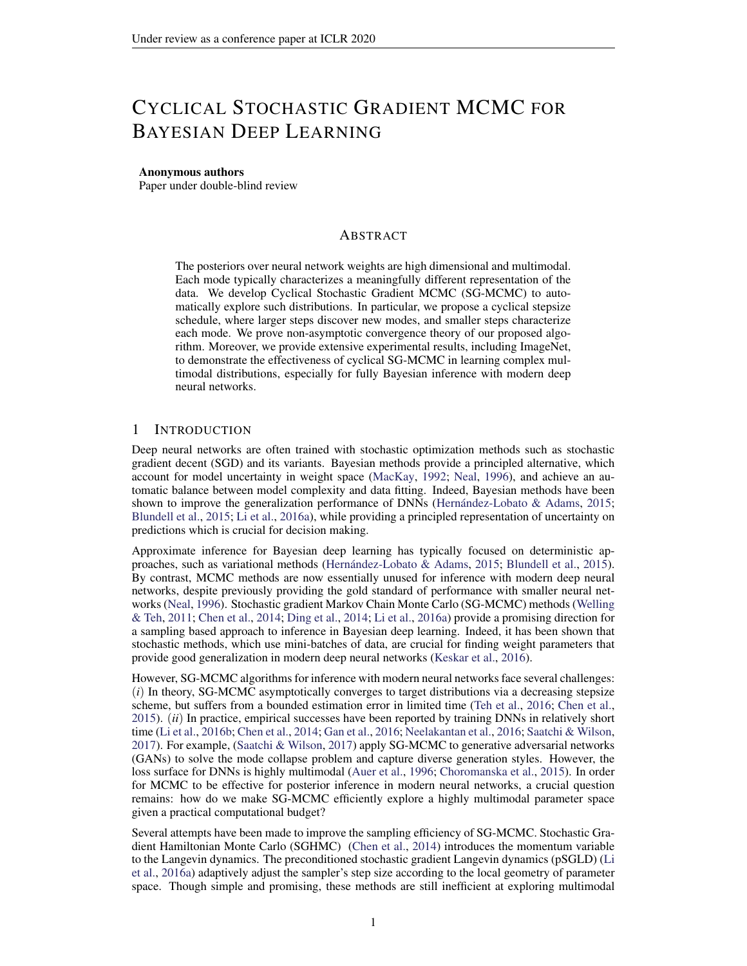The second part (30) can be bounded as follows:

$$
\frac{1}{2} \sum_{j=0}^{4} \sum_{k=1}^{4} \sum_{h_k}^{4} \sum_{k=1}^{4} \sum_{k=1}^{4} k \sum_{k=1}^{4} \sum_{k=1}^{4} \sum_{k=1}^{4} \sum_{k=1}^{4} \sum_{k=1}^{4} \sum_{j=0}^{4} \sum_{j=0}^{4} \sum_{j=0}^{4} \sum_{j=0}^{4} \sum_{j=0}^{4} \sum_{j=0}^{4} \sum_{j=0}^{4} \sum_{j=0}^{4} \sum_{j=0}^{4} \sum_{j=0}^{4} \sum_{j=0}^{4} \sum_{j=0}^{4} \sum_{j=0}^{4} \sum_{j=1}^{4} \sum_{j=1}^{4} \sum_{j=1}^{4} \sum_{j=1}^{4} \sum_{j=1}^{4} \sum_{j=1}^{4} \sum_{j=1}^{4} \sum_{j=1}^{4} \sum_{j=1}^{4} \sum_{j=1}^{4} \sum_{j=1}^{4} \sum_{j=1}^{4} \sum_{j=1}^{4} \sum_{j=1}^{4} \sum_{j=1}^{4} \sum_{j=1}^{4} \sum_{j=1}^{4} \sum_{j=1}^{4} \sum_{j=1}^{4} \sum_{j=1}^{4} \sum_{j=1}^{4} \sum_{j=1}^{4} \sum_{j=1}^{4} \sum_{j=1}^{4} \sum_{j=1}^{4} \sum_{j=1}^{4} \sum_{j=1}^{4} \sum_{j=1}^{4} \sum_{j=1}^{4} \sum_{j=1}^{4} \sum_{j=1}^{4} \sum_{j=1}^{4} \sum_{j=1}^{4} \sum_{j=1}^{4} \sum_{j=1}^{4} \sum_{j=1}^{4} \sum_{j=1}^{4} \sum_{j=1}^{4} \sum_{j=1}^{4} \sum_{j=1}^{4} \sum_{j=1}^{4} \sum_{j=1}^{4} \sum_{j=1}^{4} \sum_{j=1}^{4} \sum_{j=1}^{4} \sum_{j=1}^{4} \sum_{j=1}^{4} \sum_{j=1}^{4} \sum_{j=1}^{4} \sum_{j=1}^{4} \sum_{j=1}^{4} \sum_{j=1}^{4} \sum_{
$$

Due to the data-processing inequality for the relative entropy, we have

 $D_{\mathsf{KL}}$  (~ $\kappa$  k  $P_{\kappa_{n+1} h_k}$ )  $D_{\mathsf{KL}}$  ( $P_{\mathsf{V}}^{\mathsf{t}}$  k  $P^{\mathsf{t}}$ )  $\mathsf{L}^2_\mathsf{U}$ 2 <sup>K</sup>X <sup>1</sup> j =0  $Z$  P  $_{_{\rm k=1}^{+1}$  h<sub>k</sub>  $P_{\stackrel{j}{k=1}}$  h<sub>k</sub>  $Ek_{s}$ (s)  $($ q(s) X k=1 h<sub>i</sub>) $k^2$ ds  $+\frac{1}{2}$ 2 <sup>K</sup>X <sup>1</sup> j =0  $Z$  P  $_{_{\mathrm{K=1}}}^{\mathrm{+1}}$  h<sub>k</sub>  $P_{\stackrel{j}{k=1}}$  h<sub>k</sub> Ekr  $U($ q(s) X k=1 h<sub>i</sub>)  $G_s($  ( q(s) X k=1 h<sub>i</sub>) $k^2$ ds  $L_{U_0}^2$  max 6( $L_U^2$ Ek j k<sup>2</sup> + B<sup>2</sup>) + 3 d  $\frac{2}{6}$  $\overline{6}$  h<sub>0</sub><sup>2</sup> + max ( $L_U^2 Ek$  j k<sup>2</sup> + B<sup>2</sup>)(h<sub>0</sub> XK j =1 1 .<br>j)

Similar to the proof of cSGLD , we have

$$
\max_{0 \ j \ K} (L^2 \ E k \ j k^2 + B^2) \ D_0
$$

Then we denote th**e**L $_{0}^{2}$ (D<sub>0</sub> + d) asD<sub>1</sub> and we can derive

D<sub>KL</sub> 
$$
(-_{K} k P_{K-1 h_{k}}) D_{1} h_{0}^{2} \frac{2}{6} + D_{0} h_{0} \frac{X}{j-1} \frac{1}{j}
$$

Then according to Proposition 3.1 in (Bolley & Villani, 2005) and Lemma 3.3 in (Raginsky et al., 2017), if we denote  $_0 + 2b + 2d$  as  $D_2$ , we can derive the following result,

$$
W_{2}(\sim \kappa ; P_{\kappa_{-1} h_{k}})
$$
\n
$$
X
$$
\n
$$
[12 + D_{2}(\begin{array}{c} h_{k}) \end{array})^{1=2} [(D_{KL}(\sim \kappa k P_{\kappa_{-1} h_{k}}))^{1=2} + (D_{KL}(\sim \kappa k P_{\kappa_{-1} h_{k}}) = 2)^{1=4}]
$$
\n
$$
= [12 + D_{2}(h_{0} \begin{array}{c} X \\ \vdots \\ \vdots \\ \vdots \end{array} \begin{array}{c} 1 \\ -1 \end{array})^{1=2} [(D_{1}h_{0}^{2} \frac{2}{6} + D_{0}h_{0} \begin{array}{c} X \\ \vdots \\ \vdots \end{array} \begin{array}{c} 1 \\ -1 \end{array})^{1=2} + (D_{1}h_{0}^{2} \frac{2}{12} + D_{0}h_{0} \begin{array}{c} X \\ \vdots \\ \vdots \end{array} \begin{array}{c} 1 \\ -1 \end{array})^{1=4}]
$$

Now we derive the bound fd $\mathcal{N}_2(\sim_K\,;\begin{array}{cc} \mathsf{P}_{\;\mathsf{K}_{-1}\;\; \mathsf{h}_k}\end{array}).$ 

 $E.2 W_2(P_{\kappa \atop k=1}^K h_k; 1)$ 

We can directly get the following results from (3.17) in (Raginsky et al., 2017) that there exist some positive constant $(C_3; C_4)$ ,

$$
W_2(\begin{array}{cc} P_{K} & \ \\ k=1 & h_K \\ \end{array}; 1) \quad C_3 \exp(\begin{array}{cc} X & \ \\ k=1 & h_K = C_4 \\ \end{array})
$$

 $\Box$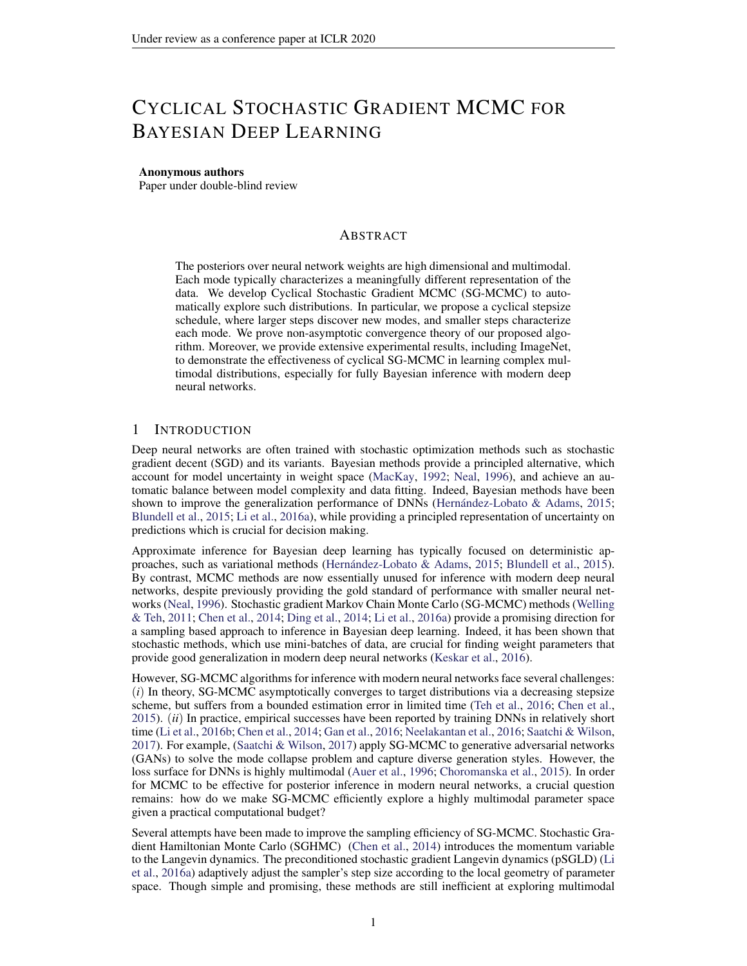Based on the convergence error bounds, we discuss an informal comparison with standard SGLD. Consider the following two cases.We must emphasize that since the  $\texttt{Wg}(m_k; \begin{array}{cc} \texttt{P} & \texttt{K} \\ \texttt{K=1} & \texttt{K} \end{array})$  in the equation 9 increases w.r**K** , our  $_{0}$  must be set small enough in practice. Hence, in this informal comparison, we also se $_{b}$  small enough to mak $\pmb{\omega}_{2}$ ( $\kappa$  ;  $\mathsf{P}_{\kappa}$ <sub>k=1</sub>  $\kappa$ ) less important.

i) If the initial stepsizes satisfy<sub>0</sub> h<sub>0</sub>, our algorithm cSGLD runs much faster than the standard SGLD in terms of the amount of "diffusion timgi"e., the "t" indexing<sub>rd</sub> in the continuous-time SDE mentioned above. This result follows from  $k=1$ ,  $k = \frac{k_0}{2}$  and  $\frac{k_1}{k_1}$   $k_2 = \frac{k_1}{k_2}$   $\frac{h_0}{k_3} =$  $\rm O(h_0\,log K) \equiv \frac{K_{-0}}{2}$ . In standard SGLD, since the error described/by( $\sim_K$  ;  $\rm \frac{P_{-K_{-1}}}{K_{-1}}$   $\rm \frac{1}{R_{-1}}$ w.r.t. K , h<sub>0</sub> needs to be set small enough in practice to reduce the error. Following the general analysis of SGLD in (Raginsky et al., 2017; Xu et al., 2017), the dominant term in the decomposition equation 21 will be $W_2$ (  $\frac{P_K}{k=1-h_K}; -1$  ) since it decreases exponentially fast with the increase of and  $W_2(\sim_K; P_{K_{n-1} \atop k=1}^K)$  is small due to the setting of small. Since  $K_{k=1}^K$  k increases much faster in our algorithm than the term  $\kappa_{k=1}^K$  h<sub>k</sub> in standard SGLD, our algorithm thus endows less error for K iterations,i.e.,  $W_2$ ( $\begin{array}{ccc} P & K & K \ R & K & K \end{array}$ ) W<sub>2</sub>( $\begin{array}{ccc} P & K & K \ R & K & K \end{array}$ ). Hence, our algorithm outperforms standard SGLD, as will be veri ed in our experiments.

ii) Instead of setting th $b_0$  small enough, one may consider increasing to make standard SGLD run as "fast" as our proposed algorithme,  $\kappa_{k=1}^K$   $\kappa_{k=1}^K$  k. Now the W<sub>2</sub>( $\kappa_{k=1}^K$   $\kappa_{k=1}^K$ ,  $\kappa_{k=1}^K$ ) in equation 21 is almost the same as  $\texttt{Wg}$ (  $\texttt{P}_{\frac{\mathsf{K}}{\mathsf{k}=1} - \mathsf{h}_{\mathsf{k}}}$ ; 1) in equation 9. However, in this case, it is worth noting thath<sub>0</sub> scales a $\mathfrak{O}(\;\;{}_{0}\mathsf{K}$ = logK). We can notice thath<sub>0</sub> is much larger than the <sub>0</sub> and thus the  $W_2(\sim_K; P_{K_{n-1} - h_k})$  cannot be ignored. Now the fterm in  $W_2(\sim_K; P_{K_{n-1} - h_k})$ would scale a $\mathcal{O}(-\frac{2}{6}K^2=log^2 K)$ , which makes $W_2(\sim_K; P_{K_{n-1}})$  in equation 21 much larger than our $W_2$ ( $\kappa$ ;  $P_{K_1}$ ,  $\kappa$ ) de ned in equation 9 sinc  $\Theta$ ( $\frac{2}{6}K^2$ =log<sup>2</sup>K) O ( $\frac{2}{6}K$ ). Again,  $k = 100$  km  $k = 100$  km  $k = 100$  km  $k = 100$  km  $k = 100$  km  $k = 100$  km  $k = 100$  km  $k = 100$  km  $k = 100$  km  $k = 100$  km  $k = 100$  km  $k = 100$  km  $k = 100$  km  $k = 100$  km  $k = 100$  km  $k = 100$  km  $k = 100$  km  $k = 100$  km  $k = 1$ 

# F COMBINING SAMPLES

In cyclical SG-MCMC, we obtain samples from multiple modes of a posterior distribution by running the cyclical step size schedule for many periods. We now show how to effectively utilize the collected samples. We consider each cycle exploring different part of the target distriputibit) on a metric space . As we haveM cycles in total, thenth cycle characterizes a local region de ning the "sub-posterior" distributionp<sub>m</sub> ( jD) =  $\frac{p(\text{p})1_{m}}{w_{m}}$ ; with w<sub>m</sub> = R  $_{_{\mathrm{m}}}$  p(  $\,$ jD)d ; where  $w_m$  is a normalizing constant. For a testing function), we are often interested in its true posterior expectation  $=$  f ( )p( jD)d. The sample-based estimation is

$$
f^{\Lambda} = \sum_{m=1}^{M} w_m f_m^{\Lambda} \text{ with } f_m^{\Lambda} = \frac{1}{K_m} \sum_{j=1}^{K_m} f\left(\begin{array}{c} (m) \\ j \end{array}\right); \tag{33}
$$

whereK<sub>m</sub> is the number of samples from the theoretherm cycle, and  $^{(m)}$  2 m.

The weight for each cycl**a**y; is estimated using thlearmonic mearmethod (Green, 1995; Raftery et al., 2006): $\boldsymbol{\mathsf{\scriptstyle{W}}}_{\mathsf{m}}$  [ $\frac{1}{\mathsf{K}_{\mathsf{m}}}$  $P_{K_m}^{K_m}$   $\frac{1}{p(D_j \frac{1}{p})}$ ] <sup>1</sup>: This approach provides a simple and consistent estimator, where the only additional cost is to traverse the training dataset to evaluate the likelihood p(Dj  $\frac{^{(m)}}{^{j}}$ ) for each sample $\frac{^{(m)}}{^{j}}$ . We evaluate the likelihood once off-line and store the result for testing.

If  $<sub>m</sub>$  are not disjoint, we can assume new sub-regions which are disjoint and compute the</sub> estimator as following

$$
f_m^n = \frac{1}{n_m} \sum_{m=1}^{M} \sum_{j=1}^{K_m} f(\begin{array}{c} (j) \\ m \end{array}) 1_{\sim_m} (\begin{array}{c} (m) \\ j \end{array})
$$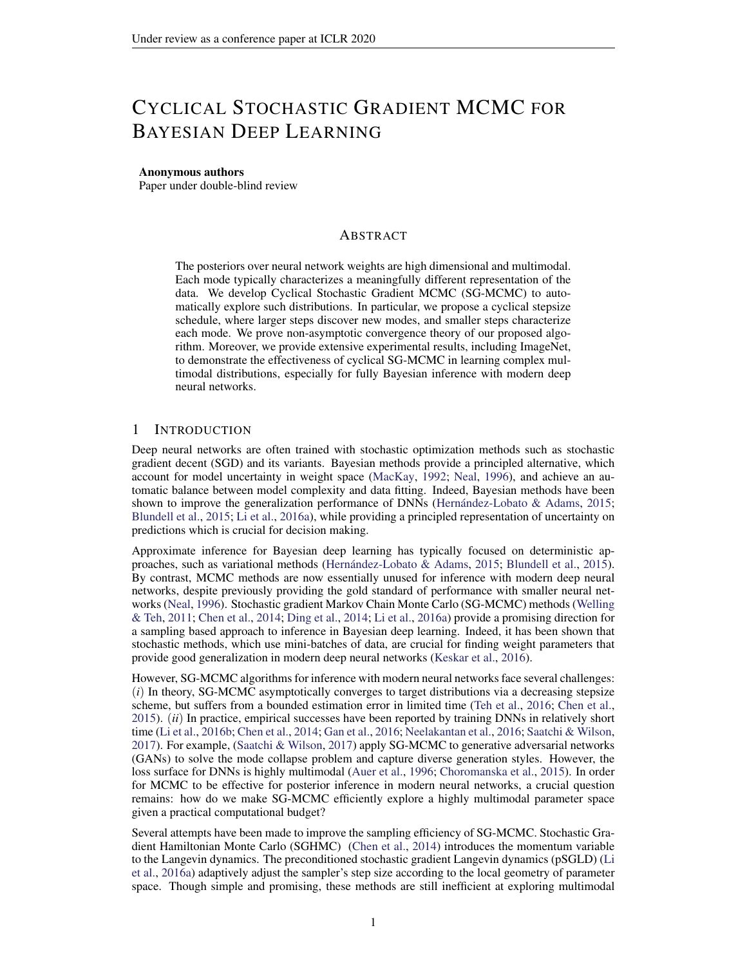where

$$
\overline{n}_{m} = \frac{\mathbb{X}^{n} \ \mathbb{X}^{m}}{m=1 \ j=1} 1_{\sim_{m}} \left( \begin{array}{c} (m) \\ j \end{array} \right)
$$

and1 $_{\sim_m}$  (  $\binom{(m)}{j}$  equals 1 only when $\binom{(m)}{j}$  2  $\sim_m$  . By doing so, our estimator still holds even if<sub>m</sub> are not disjoint.

# G THEORETICAL ANALYSIS UNDER CONVEX ASSUMPTION

Firstly, we introduce the following SDE

$$
d_t = r U(t) dt + \frac{p}{2} dW_t ; \qquad (34)
$$

Let  $_t$  denote the distribution of<sub>t</sub>, and the stationary distribution of equation 34 $\sharp$ (ejD), which means  $_1$  = p( jD).

However, the exact evaluation of the gradient is computationally expensive. Hence, we need to adopt noisy evaluations of U. For simplicity, we assume that at any point we can observe the value

$$
r \cup_k = r \cup (\kappa) + \kappa
$$

where  $_k : k = 0; 1; 2; ...$  is a sequence of random (noise) vectors. Then the algorithm is de ned as:

k+1 = <sup>k</sup> k+1 r ~U<sup>k</sup> + p 2 k+1 k+1 (35)

Further, let  $_k$  denote the distribution of  $_k$ .

Following the existing work in (Dalalyan & Karagulyan, 2019), we adopt the following standard assumptions summarized in Assumption 5,

Assumption 5.

For some positive constants m and M, it holds

U( ) U(  $^{\circ}$ ) r U(  $^{\circ}$ T(  $^{\circ}$ ) (m=2)k  $\frac{0}{2}$ kr $U( )$  r  $U( \ ^{0})$ k $_{2}$  Mk  $\mathsf{a}_{\mathsf{k}_2}$ 

for any;  $^0$ 2 R $^{\mathsf{d}}$ 

(bounded bias $E[kE(|k|k) k^2]$  $^{2}d$ 

(bounded variance  $E[k_k - E(k_j - k)k_2^2]$  $^{2}d$ 

(independence of updates)<sub> $k_1$ </sub> in equation 35 is independent  $\mathfrak{ch}_1$ ;  $_2$ ; :::;  $_k$ )

G.1 THEOREM

Under Assumption 5 in Appendix and 0 2  $(0; \frac{1}{m} \wedge \frac{2}{M})$ , if we dene the <sub>min</sub> as  $\frac{0}{2}$  cos  $\frac{\text{mod dK=M e} + 1, dK=M e}{\text{dK=M e}} + 1$ , we can derive the the following bounds.

If m <sub>min</sub> + M <sub>0</sub> 2, thenW<sub>2</sub>(<sub>k+1</sub>; 1)  
\n(1 m <sub>min</sub>)<sup>K</sup> W<sub>2</sub>(<sub>0</sub>; 1) + 
$$
\frac{(1:65M \frac{3=2}{0} + 0)d^{1=2}}{m \text{ min}}
$$
 +  $\frac{2}{1:65M \frac{1=2}{0} + 0} = \frac{2}{m \text{ min}}$  (36)

If m <sub>min</sub> + M <sub>0</sub> > 2, thenW<sub>2</sub>(<sub>k+1</sub>; 1)  
\n
$$
(1 (2 M_0))^{K} W_2(o; 1) + \frac{(1.65M_0^{3=2} + o)d^{1=2}}{2 M_0} + \frac{2}{1.65M_0^{1=2} + 1.65M_0^{1=2}};
$$
\n(37)

where theM; m; ; are some positive constants de ned in Assumption 5